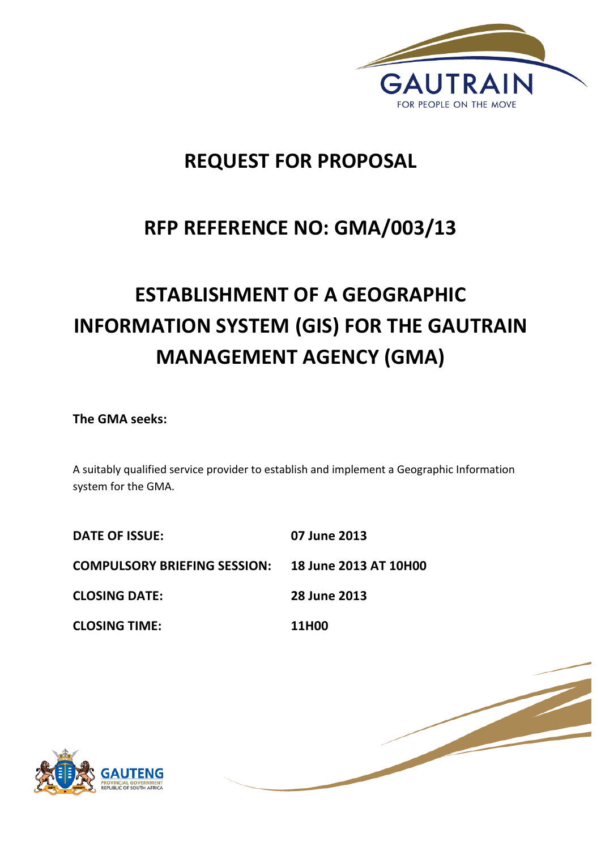

# **REQUEST FOR PROPOSAL**

# **RFP REFERENCE NO: GMA/003/13**

# **ESTABLISHMENT OF A GEOGRAPHIC INFORMATION SYSTEM (GIS) FOR THE GAUTRAIN MANAGEMENT AGENCY (GMA)**

**The GMA seeks:** 

A suitably qualified service provider to establish and implement a Geographic Information system for the GMA.

| <b>DATE OF ISSUE:</b>               | 07 June 2013                 |
|-------------------------------------|------------------------------|
| <b>COMPULSORY BRIEFING SESSION:</b> | <b>18 June 2013 AT 10H00</b> |
| <b>CLOSING DATE:</b>                | 28 June 2013                 |
| <b>CLOSING TIME:</b>                | 11H00                        |



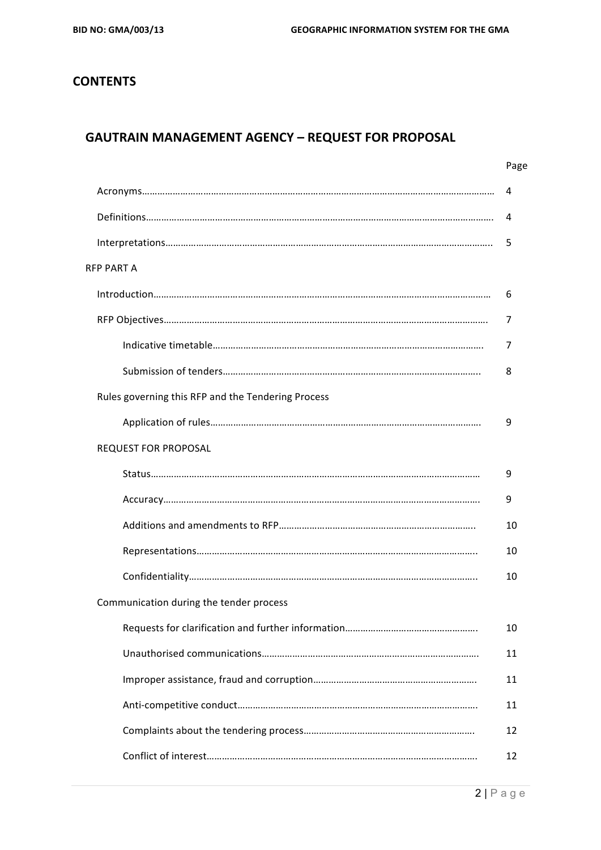# **CONTENTS**

# **GAUTRAIN MANAGEMENT AGENCY - REQUEST FOR PROPOSAL**

|                                                    | Page |
|----------------------------------------------------|------|
|                                                    | 4    |
|                                                    | 4    |
|                                                    | 5    |
| <b>RFP PART A</b>                                  |      |
|                                                    | 6    |
|                                                    | 7    |
|                                                    | 7    |
|                                                    | 8    |
| Rules governing this RFP and the Tendering Process |      |
|                                                    | 9    |
| <b>REQUEST FOR PROPOSAL</b>                        |      |
|                                                    | 9    |
|                                                    | 9    |
|                                                    | 10   |
|                                                    | 10   |
|                                                    | 10   |
| Communication during the tender process            |      |
|                                                    | 10   |
|                                                    | 11   |
|                                                    | 11   |
|                                                    | 11   |
|                                                    | 12   |
|                                                    | 12   |
|                                                    |      |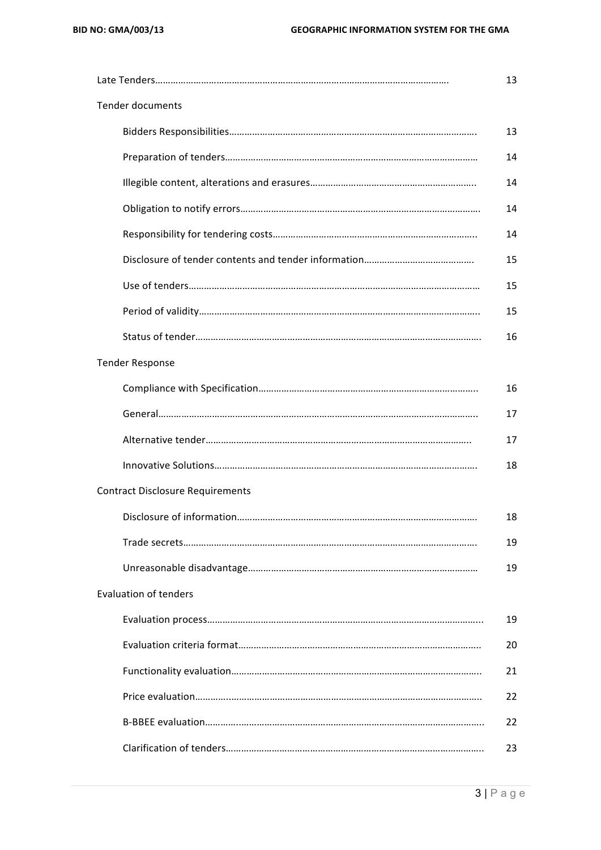|                                         | 13 |
|-----------------------------------------|----|
| <b>Tender documents</b>                 |    |
|                                         | 13 |
|                                         | 14 |
|                                         | 14 |
|                                         | 14 |
|                                         | 14 |
|                                         | 15 |
|                                         | 15 |
|                                         | 15 |
|                                         | 16 |
| <b>Tender Response</b>                  |    |
|                                         | 16 |
|                                         | 17 |
|                                         | 17 |
|                                         | 18 |
| <b>Contract Disclosure Requirements</b> |    |
|                                         | 18 |
|                                         | 19 |
|                                         | 19 |
| <b>Evaluation of tenders</b>            |    |
|                                         | 19 |
|                                         | 20 |
|                                         | 21 |
|                                         | 22 |
|                                         | 22 |
|                                         | 23 |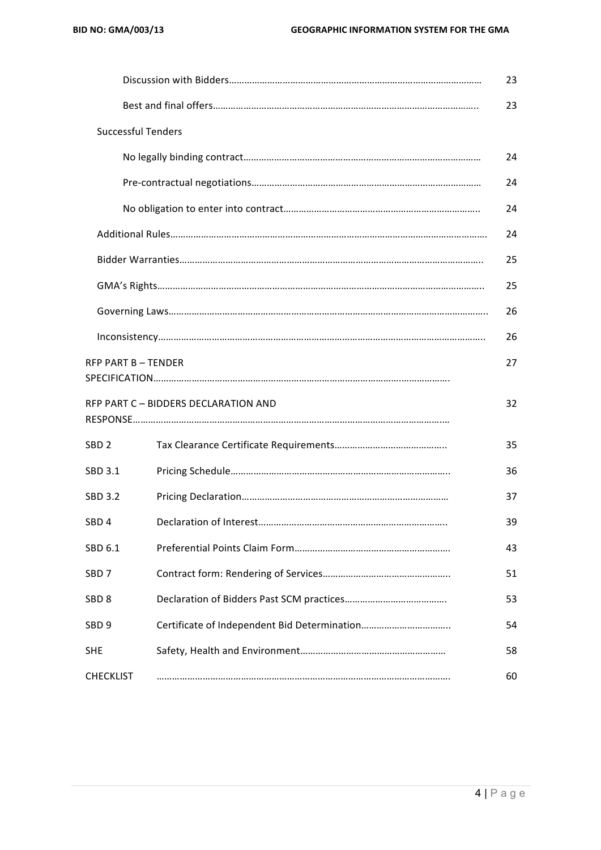|                           |                                      | 23 |
|---------------------------|--------------------------------------|----|
|                           |                                      | 23 |
| <b>Successful Tenders</b> |                                      |    |
|                           |                                      | 24 |
|                           |                                      | 24 |
|                           |                                      | 24 |
|                           |                                      | 24 |
|                           |                                      | 25 |
|                           |                                      | 25 |
|                           |                                      | 26 |
|                           |                                      | 26 |
| <b>RFP PART B-TENDER</b>  |                                      | 27 |
|                           | RFP PART C - BIDDERS DECLARATION AND | 32 |
| SBD <sub>2</sub>          |                                      | 35 |
| SBD 3.1                   |                                      | 36 |
| <b>SBD 3.2</b>            |                                      | 37 |
| SBD <sub>4</sub>          |                                      | 39 |
| SBD 6.1                   |                                      | 43 |
| SBD <sub>7</sub>          |                                      | 51 |
| SBD <sub>8</sub>          |                                      | 53 |
| SBD <sub>9</sub>          |                                      | 54 |
| <b>SHE</b>                |                                      | 58 |
| <b>CHECKLIST</b>          |                                      | 60 |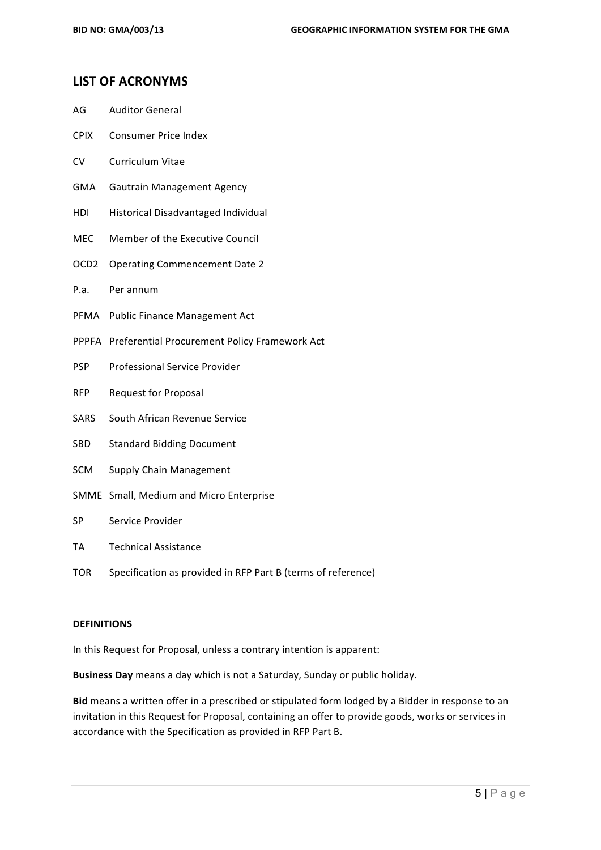#### **LIST OF ACRONYMS**

- AG Auditor General
- CPIX Consumer Price Index
- CV Curriculum Vitae
- GMA Gautrain Management Agency
- HDI Historical Disadvantaged Individual
- MEC Member of the Executive Council
- OCD2 Operating Commencement Date 2
- P.a. Per annum
- PFMA Public Finance Management Act
- PPPFA Preferential Procurement Policy Framework Act
- PSP Professional Service Provider
- RFP Request for Proposal
- SARS South African Revenue Service
- SBD Standard Bidding Document
- SCM Supply Chain Management
- SMME Small, Medium and Micro Enterprise
- SP Service Provider
- TA Technical Assistance
- TOR Specification as provided in RFP Part B (terms of reference)

#### **DEFINITIONS**

In this Request for Proposal, unless a contrary intention is apparent:

**Business Day** means a day which is not a Saturday, Sunday or public holiday.

Bid means a written offer in a prescribed or stipulated form lodged by a Bidder in response to an invitation in this Request for Proposal, containing an offer to provide goods, works or services in accordance with the Specification as provided in RFP Part B.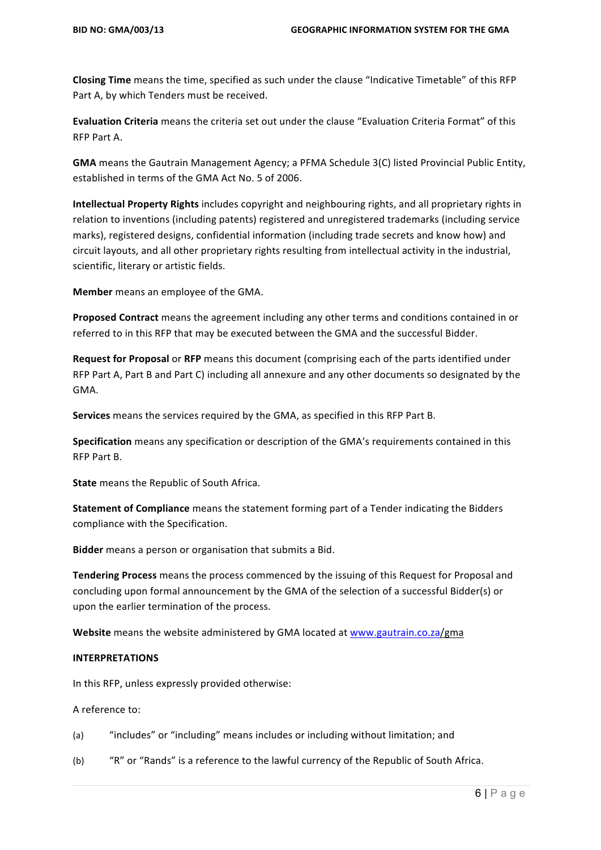**Closing Time** means the time, specified as such under the clause "Indicative Timetable" of this RFP Part A, by which Tenders must be received.

Evaluation Criteria means the criteria set out under the clause "Evaluation Criteria Format" of this RFP Part A.

**GMA** means the Gautrain Management Agency; a PFMA Schedule 3(C) listed Provincial Public Entity, established in terms of the GMA Act No. 5 of 2006.

**Intellectual Property Rights** includes copyright and neighbouring rights, and all proprietary rights in relation to inventions (including patents) registered and unregistered trademarks (including service marks), registered designs, confidential information (including trade secrets and know how) and circuit layouts, and all other proprietary rights resulting from intellectual activity in the industrial, scientific, literary or artistic fields.

**Member** means an employee of the GMA.

**Proposed Contract** means the agreement including any other terms and conditions contained in or referred to in this RFP that may be executed between the GMA and the successful Bidder.

**Request for Proposal** or RFP means this document (comprising each of the parts identified under RFP Part A, Part B and Part C) including all annexure and any other documents so designated by the GMA. 

**Services** means the services required by the GMA, as specified in this RFP Part B.

**Specification** means any specification or description of the GMA's requirements contained in this RFP Part B.

**State** means the Republic of South Africa.

**Statement of Compliance** means the statement forming part of a Tender indicating the Bidders compliance with the Specification.

**Bidder** means a person or organisation that submits a Bid.

**Tendering Process** means the process commenced by the issuing of this Request for Proposal and concluding upon formal announcement by the GMA of the selection of a successful Bidder(s) or upon the earlier termination of the process.

**Website** means the website administered by GMA located at www.gautrain.co.za/gma

#### **INTERPRETATIONS**

In this RFP, unless expressly provided otherwise:

A reference to:

- (a) "includes" or "including" means includes or including without limitation; and
- (b) ""R" or "Rands" is a reference to the lawful currency of the Republic of South Africa.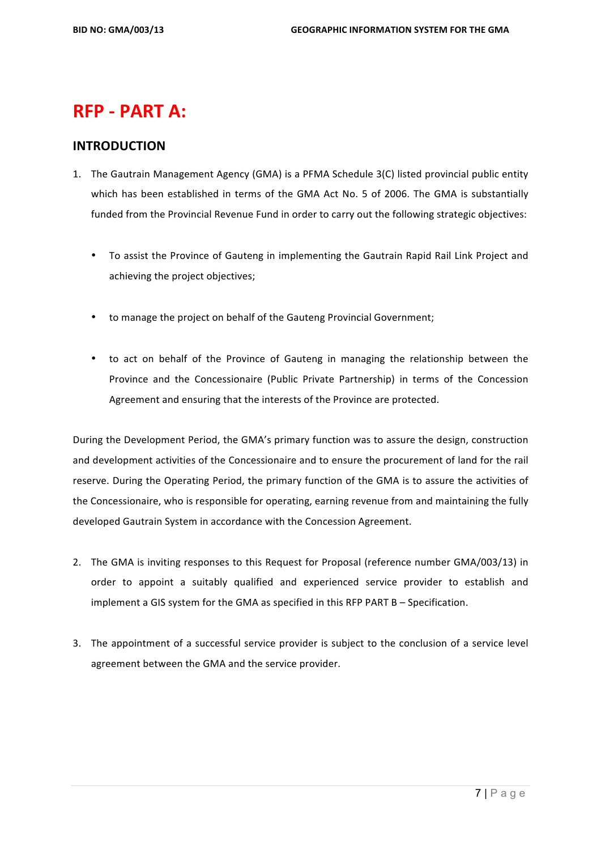# **RFP - PART A:**

#### **INTRODUCTION**

- 1. The Gautrain Management Agency (GMA) is a PFMA Schedule 3(C) listed provincial public entity which has been established in terms of the GMA Act No. 5 of 2006. The GMA is substantially funded from the Provincial Revenue Fund in order to carry out the following strategic objectives:
	- To assist the Province of Gauteng in implementing the Gautrain Rapid Rail Link Project and achieving the project objectives;
	- to manage the project on behalf of the Gauteng Provincial Government;
	- to act on behalf of the Province of Gauteng in managing the relationship between the Province and the Concessionaire (Public Private Partnership) in terms of the Concession Agreement and ensuring that the interests of the Province are protected.

During the Development Period, the GMA's primary function was to assure the design, construction and development activities of the Concessionaire and to ensure the procurement of land for the rail reserve. During the Operating Period, the primary function of the GMA is to assure the activities of the Concessionaire, who is responsible for operating, earning revenue from and maintaining the fully developed Gautrain System in accordance with the Concession Agreement.

- 2. The GMA is inviting responses to this Request for Proposal (reference number GMA/003/13) in order to appoint a suitably qualified and experienced service provider to establish and implement a GIS system for the GMA as specified in this RFP PART  $B -$  Specification.
- 3. The appointment of a successful service provider is subject to the conclusion of a service level agreement between the GMA and the service provider.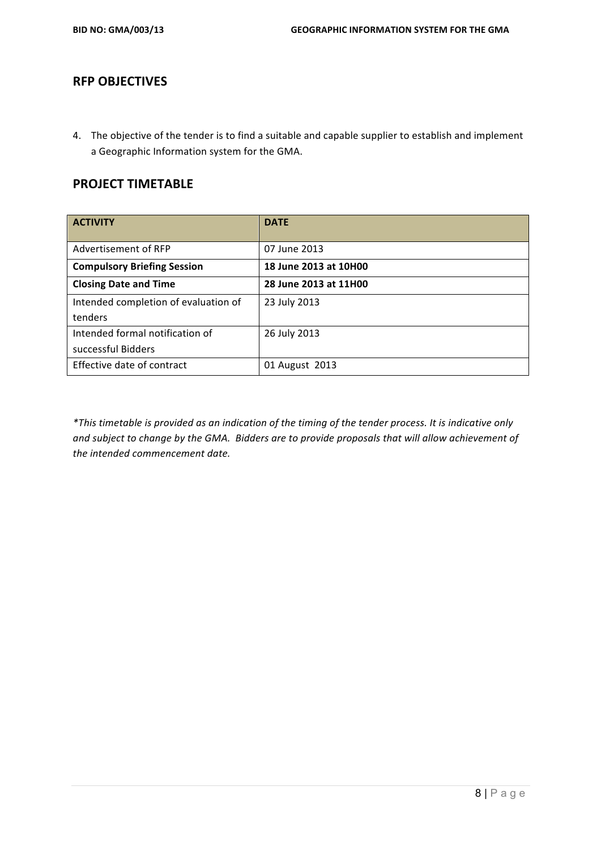## **RFP OBJECTIVES**

4. The objective of the tender is to find a suitable and capable supplier to establish and implement a Geographic Information system for the GMA.

## **PROJECT TIMETABLE**

| <b>ACTIVITY</b>                      | <b>DATE</b>           |
|--------------------------------------|-----------------------|
| Advertisement of RFP                 | 07 June 2013          |
| <b>Compulsory Briefing Session</b>   | 18 June 2013 at 10H00 |
| <b>Closing Date and Time</b>         | 28 June 2013 at 11H00 |
| Intended completion of evaluation of | 23 July 2013          |
| tenders                              |                       |
| Intended formal notification of      | 26 July 2013          |
| successful Bidders                   |                       |
| Effective date of contract           | 01 August 2013        |

\*This timetable is provided as an indication of the timing of the tender process. It is indicative only and subject to change by the GMA. Bidders are to provide proposals that will allow achievement of the intended commencement date.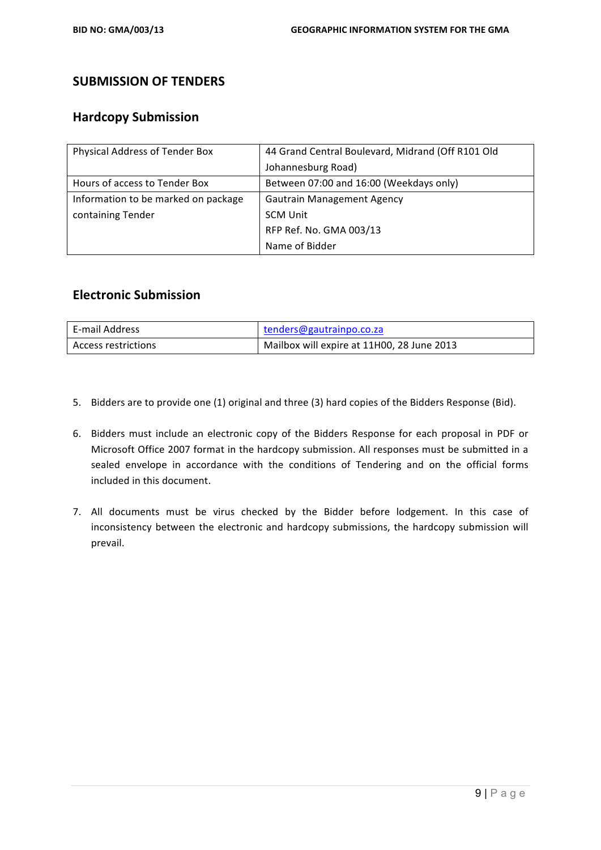# **SUBMISSION OF TENDERS**

## **Hardcopy Submission**

| Physical Address of Tender Box      | 44 Grand Central Boulevard, Midrand (Off R101 Old |
|-------------------------------------|---------------------------------------------------|
|                                     | Johannesburg Road)                                |
| Hours of access to Tender Box       | Between 07:00 and 16:00 (Weekdays only)           |
| Information to be marked on package | <b>Gautrain Management Agency</b>                 |
| containing Tender                   | <b>SCM Unit</b>                                   |
|                                     | RFP Ref. No. GMA 003/13                           |
|                                     | Name of Bidder                                    |

#### **Electronic Submission**

| E-mail Address      | tenders@gautrainpo.co.za                   |
|---------------------|--------------------------------------------|
| Access restrictions | Mailbox will expire at 11H00, 28 June 2013 |

- 5. Bidders are to provide one (1) original and three (3) hard copies of the Bidders Response (Bid).
- 6. Bidders must include an electronic copy of the Bidders Response for each proposal in PDF or Microsoft Office 2007 format in the hardcopy submission. All responses must be submitted in a sealed envelope in accordance with the conditions of Tendering and on the official forms included in this document.
- 7. All documents must be virus checked by the Bidder before lodgement. In this case of inconsistency between the electronic and hardcopy submissions, the hardcopy submission will prevail.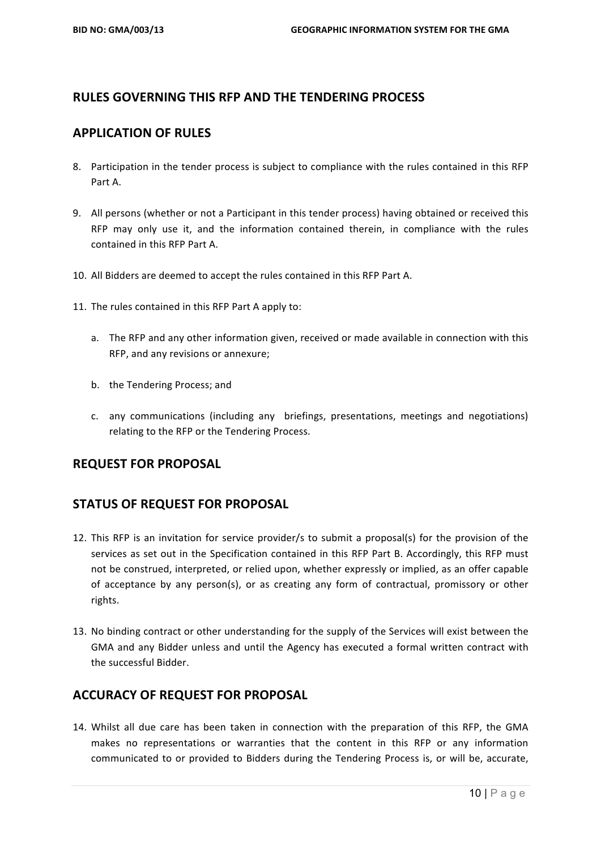# **RULES GOVERNING THIS RFP AND THE TENDERING PROCESS**

#### **APPLICATION OF RULES**

- 8. Participation in the tender process is subject to compliance with the rules contained in this RFP Part A.
- 9. All persons (whether or not a Participant in this tender process) having obtained or received this RFP may only use it, and the information contained therein, in compliance with the rules contained in this RFP Part A.
- 10. All Bidders are deemed to accept the rules contained in this RFP Part A.
- 11. The rules contained in this RFP Part A apply to:
	- a. The RFP and any other information given, received or made available in connection with this RFP, and any revisions or annexure;
	- b. the Tendering Process; and
	- c. any communications (including any briefings, presentations, meetings and negotiations) relating to the RFP or the Tendering Process.

#### **REQUEST FOR PROPOSAL**

# **STATUS OF REQUEST FOR PROPOSAL**

- 12. This RFP is an invitation for service provider/s to submit a proposal(s) for the provision of the services as set out in the Specification contained in this RFP Part B. Accordingly, this RFP must not be construed, interpreted, or relied upon, whether expressly or implied, as an offer capable of acceptance by any person(s), or as creating any form of contractual, promissory or other rights.
- 13. No binding contract or other understanding for the supply of the Services will exist between the GMA and any Bidder unless and until the Agency has executed a formal written contract with the successful Bidder.

# **ACCURACY OF REQUEST FOR PROPOSAL**

14. Whilst all due care has been taken in connection with the preparation of this RFP, the GMA makes no representations or warranties that the content in this RFP or any information communicated to or provided to Bidders during the Tendering Process is, or will be, accurate,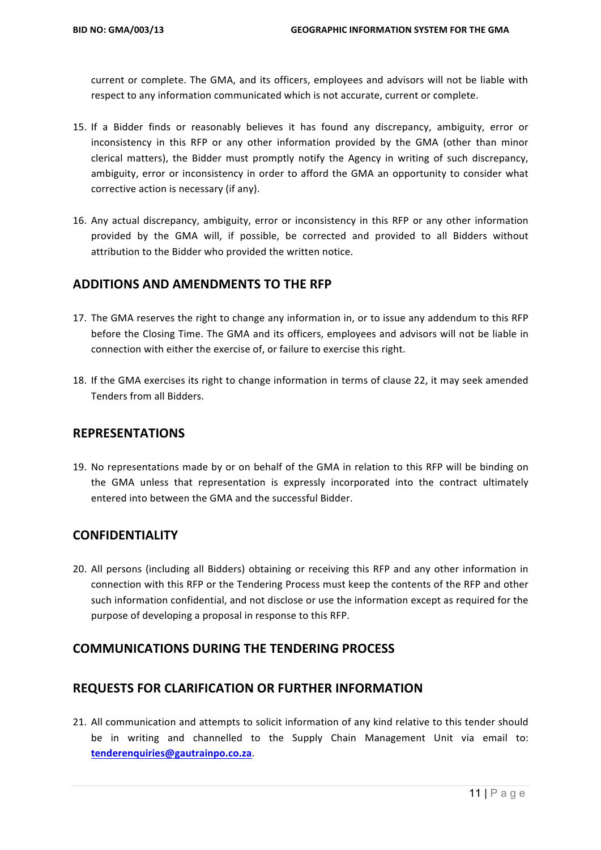current or complete. The GMA, and its officers, employees and advisors will not be liable with respect to any information communicated which is not accurate, current or complete.

- 15. If a Bidder finds or reasonably believes it has found any discrepancy, ambiguity, error or inconsistency in this RFP or any other information provided by the GMA (other than minor clerical matters), the Bidder must promptly notify the Agency in writing of such discrepancy, ambiguity, error or inconsistency in order to afford the GMA an opportunity to consider what corrective action is necessary (if any).
- 16. Any actual discrepancy, ambiguity, error or inconsistency in this RFP or any other information provided by the GMA will, if possible, be corrected and provided to all Bidders without attribution to the Bidder who provided the written notice.

## **ADDITIONS AND AMENDMENTS TO THE RFP**

- 17. The GMA reserves the right to change any information in, or to issue any addendum to this RFP before the Closing Time. The GMA and its officers, employees and advisors will not be liable in connection with either the exercise of, or failure to exercise this right.
- 18. If the GMA exercises its right to change information in terms of clause 22, it may seek amended Tenders from all Bidders.

#### **REPRESENTATIONS**

19. No representations made by or on behalf of the GMA in relation to this RFP will be binding on the GMA unless that representation is expressly incorporated into the contract ultimately entered into between the GMA and the successful Bidder.

#### **CONFIDENTIALITY**

20. All persons (including all Bidders) obtaining or receiving this RFP and any other information in connection with this RFP or the Tendering Process must keep the contents of the RFP and other such information confidential, and not disclose or use the information except as required for the purpose of developing a proposal in response to this RFP.

#### **COMMUNICATIONS DURING THE TENDERING PROCESS**

# **REQUESTS FOR CLARIFICATION OR FURTHER INFORMATION**

21. All communication and attempts to solicit information of any kind relative to this tender should be in writing and channelled to the Supply Chain Management Unit via email to: **tenderenquiries@gautrainpo.co.za**.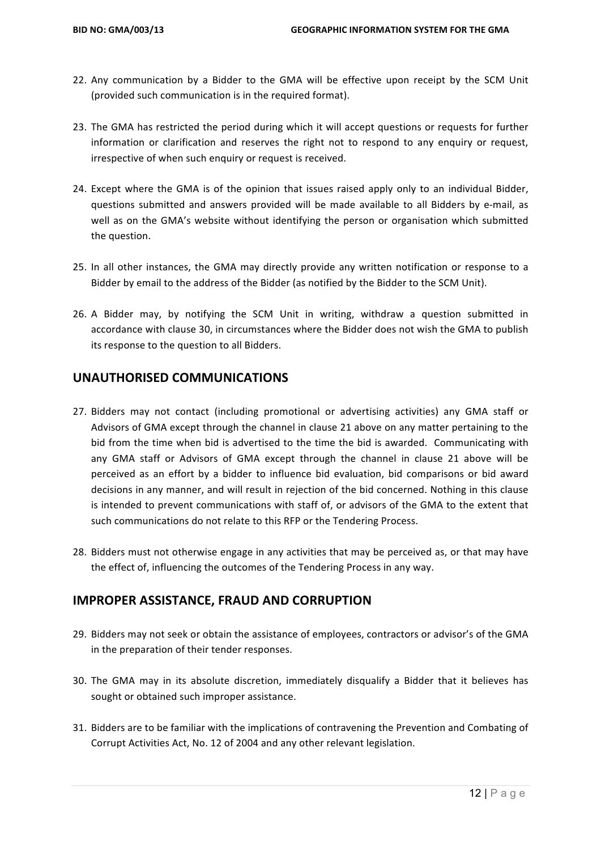- 22. Any communication by a Bidder to the GMA will be effective upon receipt by the SCM Unit (provided such communication is in the required format).
- 23. The GMA has restricted the period during which it will accept questions or requests for further information or clarification and reserves the right not to respond to any enquiry or request, irrespective of when such enquiry or request is received.
- 24. Except where the GMA is of the opinion that issues raised apply only to an individual Bidder, questions submitted and answers provided will be made available to all Bidders by e-mail, as well as on the GMA's website without identifying the person or organisation which submitted the question.
- 25. In all other instances, the GMA may directly provide any written notification or response to a Bidder by email to the address of the Bidder (as notified by the Bidder to the SCM Unit).
- 26. A Bidder may, by notifying the SCM Unit in writing, withdraw a question submitted in accordance with clause 30, in circumstances where the Bidder does not wish the GMA to publish its response to the question to all Bidders.

#### **UNAUTHORISED COMMUNICATIONS**

- 27. Bidders may not contact (including promotional or advertising activities) any GMA staff or Advisors of GMA except through the channel in clause 21 above on any matter pertaining to the bid from the time when bid is advertised to the time the bid is awarded. Communicating with any GMA staff or Advisors of GMA except through the channel in clause 21 above will be perceived as an effort by a bidder to influence bid evaluation, bid comparisons or bid award decisions in any manner, and will result in rejection of the bid concerned. Nothing in this clause is intended to prevent communications with staff of, or advisors of the GMA to the extent that such communications do not relate to this RFP or the Tendering Process.
- 28. Bidders must not otherwise engage in any activities that may be perceived as, or that may have the effect of, influencing the outcomes of the Tendering Process in any way.

#### **IMPROPER ASSISTANCE, FRAUD AND CORRUPTION**

- 29. Bidders may not seek or obtain the assistance of employees, contractors or advisor's of the GMA in the preparation of their tender responses.
- 30. The GMA may in its absolute discretion, immediately disqualify a Bidder that it believes has sought or obtained such improper assistance.
- 31. Bidders are to be familiar with the implications of contravening the Prevention and Combating of Corrupt Activities Act, No. 12 of 2004 and any other relevant legislation.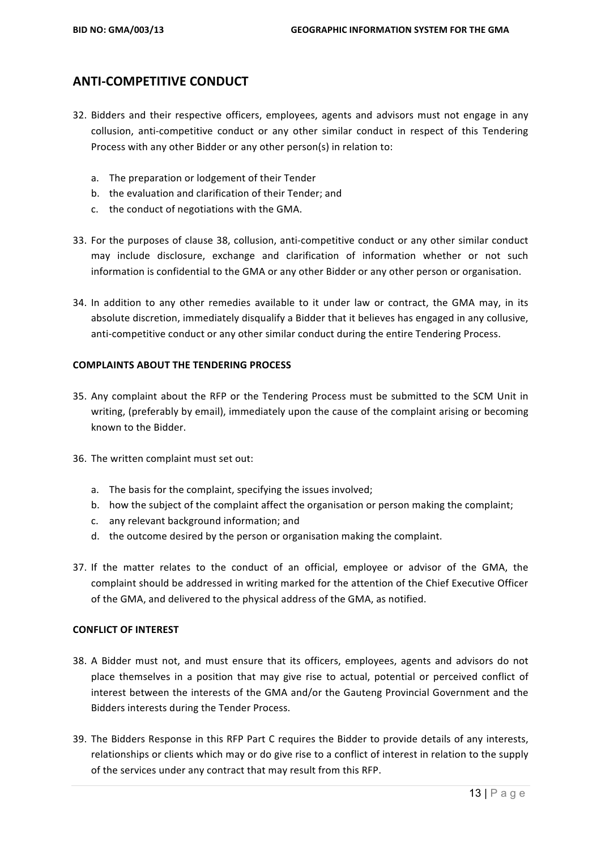# **ANTI-COMPETITIVE CONDUCT**

- 32. Bidders and their respective officers, employees, agents and advisors must not engage in any collusion, anti-competitive conduct or any other similar conduct in respect of this Tendering Process with any other Bidder or any other person(s) in relation to:
	- a. The preparation or lodgement of their Tender
	- b. the evaluation and clarification of their Tender; and
	- c. the conduct of negotiations with the GMA.
- 33. For the purposes of clause 38, collusion, anti-competitive conduct or any other similar conduct may include disclosure, exchange and clarification of information whether or not such information is confidential to the GMA or any other Bidder or any other person or organisation.
- 34. In addition to any other remedies available to it under law or contract, the GMA may, in its absolute discretion, immediately disqualify a Bidder that it believes has engaged in any collusive, anti-competitive conduct or any other similar conduct during the entire Tendering Process.

#### **COMPLAINTS ABOUT THE TENDERING PROCESS**

- 35. Any complaint about the RFP or the Tendering Process must be submitted to the SCM Unit in writing, (preferably by email), immediately upon the cause of the complaint arising or becoming known to the Bidder.
- 36. The written complaint must set out:
	- a. The basis for the complaint, specifying the issues involved;
	- b. how the subject of the complaint affect the organisation or person making the complaint;
	- c. any relevant background information; and
	- d. the outcome desired by the person or organisation making the complaint.
- 37. If the matter relates to the conduct of an official, employee or advisor of the GMA, the complaint should be addressed in writing marked for the attention of the Chief Executive Officer of the GMA, and delivered to the physical address of the GMA, as notified.

#### **CONFLICT OF INTEREST**

- 38. A Bidder must not, and must ensure that its officers, employees, agents and advisors do not place themselves in a position that may give rise to actual, potential or perceived conflict of interest between the interests of the GMA and/or the Gauteng Provincial Government and the Bidders interests during the Tender Process.
- 39. The Bidders Response in this RFP Part C requires the Bidder to provide details of any interests, relationships or clients which may or do give rise to a conflict of interest in relation to the supply of the services under any contract that may result from this RFP.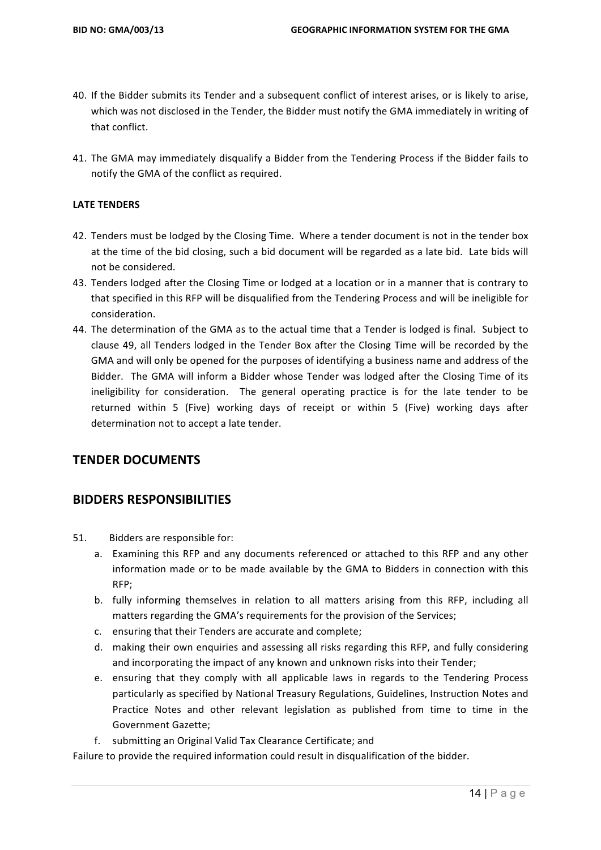- 40. If the Bidder submits its Tender and a subsequent conflict of interest arises, or is likely to arise, which was not disclosed in the Tender, the Bidder must notify the GMA immediately in writing of that conflict.
- 41. The GMA may immediately disqualify a Bidder from the Tendering Process if the Bidder fails to notify the GMA of the conflict as required.

#### **LATE TENDERS**

- 42. Tenders must be lodged by the Closing Time. Where a tender document is not in the tender box at the time of the bid closing, such a bid document will be regarded as a late bid. Late bids will not be considered.
- 43. Tenders lodged after the Closing Time or lodged at a location or in a manner that is contrary to that specified in this RFP will be disqualified from the Tendering Process and will be ineligible for consideration.
- 44. The determination of the GMA as to the actual time that a Tender is lodged is final. Subject to clause 49, all Tenders lodged in the Tender Box after the Closing Time will be recorded by the GMA and will only be opened for the purposes of identifying a business name and address of the Bidder. The GMA will inform a Bidder whose Tender was lodged after the Closing Time of its ineligibility for consideration. The general operating practice is for the late tender to be returned within 5 (Five) working days of receipt or within 5 (Five) working days after determination not to accept a late tender.

#### **TENDER DOCUMENTS**

#### **BIDDERS RESPONSIBILITIES**

- 51. Bidders are responsible for:
	- a. Examining this RFP and any documents referenced or attached to this RFP and any other information made or to be made available by the GMA to Bidders in connection with this RFP;
	- b. fully informing themselves in relation to all matters arising from this RFP, including all matters regarding the GMA's requirements for the provision of the Services;
	- c. ensuring that their Tenders are accurate and complete;
	- d. making their own enquiries and assessing all risks regarding this RFP, and fully considering and incorporating the impact of any known and unknown risks into their Tender;
	- e. ensuring that they comply with all applicable laws in regards to the Tendering Process particularly as specified by National Treasury Regulations, Guidelines, Instruction Notes and Practice Notes and other relevant legislation as published from time to time in the Government Gazette:
	- f. submitting an Original Valid Tax Clearance Certificate; and

Failure to provide the required information could result in disqualification of the bidder.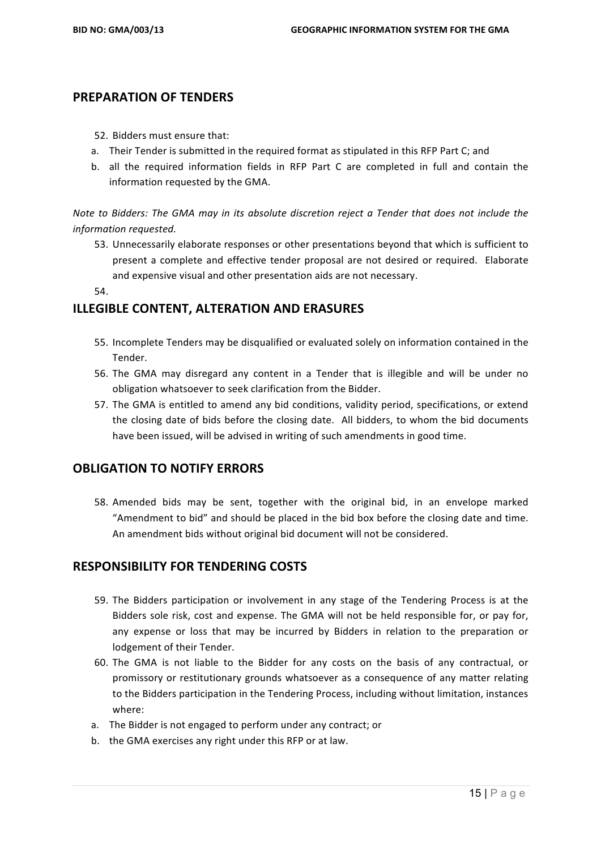#### **PREPARATION OF TENDERS**

- 52. Bidders must ensure that:
- a. Their Tender is submitted in the required format as stipulated in this RFP Part C; and
- b. all the required information fields in RFP Part C are completed in full and contain the information requested by the GMA.

*Note* to Bidders: The GMA may in its absolute discretion reject a Tender that does not include the *information requested.*

53. Unnecessarily elaborate responses or other presentations beyond that which is sufficient to present a complete and effective tender proposal are not desired or required. Elaborate and expensive visual and other presentation aids are not necessary.

54.

# **ILLEGIBLE CONTENT, ALTERATION AND ERASURES**

- 55. Incomplete Tenders may be disqualified or evaluated solely on information contained in the Tender.
- 56. The GMA may disregard any content in a Tender that is illegible and will be under no obligation whatsoever to seek clarification from the Bidder.
- 57. The GMA is entitled to amend any bid conditions, validity period, specifications, or extend the closing date of bids before the closing date. All bidders, to whom the bid documents have been issued, will be advised in writing of such amendments in good time.

#### **OBLIGATION TO NOTIFY ERRORS**

58. Amended bids may be sent, together with the original bid, in an envelope marked "Amendment to bid" and should be placed in the bid box before the closing date and time. An amendment bids without original bid document will not be considered.

# **RESPONSIBILITY FOR TENDERING COSTS**

- 59. The Bidders participation or involvement in any stage of the Tendering Process is at the Bidders sole risk, cost and expense. The GMA will not be held responsible for, or pay for, any expense or loss that may be incurred by Bidders in relation to the preparation or lodgement of their Tender.
- 60. The GMA is not liable to the Bidder for any costs on the basis of any contractual, or promissory or restitutionary grounds whatsoever as a consequence of any matter relating to the Bidders participation in the Tendering Process, including without limitation, instances where:
- a. The Bidder is not engaged to perform under any contract; or
- b. the GMA exercises any right under this RFP or at law.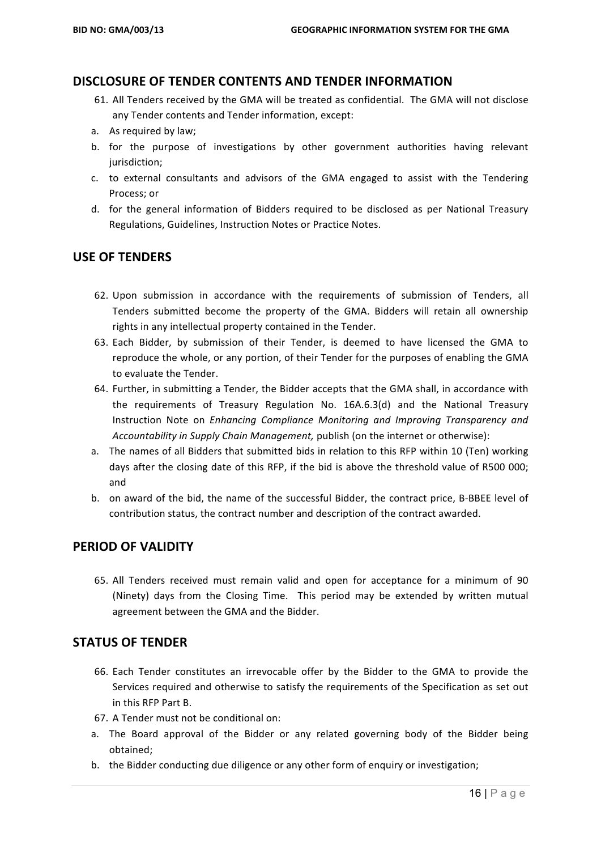#### **DISCLOSURE OF TENDER CONTENTS AND TENDER INFORMATION**

- 61. All Tenders received by the GMA will be treated as confidential. The GMA will not disclose any Tender contents and Tender information, except:
- a. As required by law;
- b. for the purpose of investigations by other government authorities having relevant jurisdiction;
- c. to external consultants and advisors of the GMA engaged to assist with the Tendering Process; or
- d. for the general information of Bidders required to be disclosed as per National Treasury Regulations, Guidelines, Instruction Notes or Practice Notes.

#### **USE OF TENDERS**

- 62. Upon submission in accordance with the requirements of submission of Tenders, all Tenders submitted become the property of the GMA. Bidders will retain all ownership rights in any intellectual property contained in the Tender.
- 63. Each Bidder, by submission of their Tender, is deemed to have licensed the GMA to reproduce the whole, or any portion, of their Tender for the purposes of enabling the GMA to evaluate the Tender.
- 64. Further, in submitting a Tender, the Bidder accepts that the GMA shall, in accordance with the requirements of Treasury Regulation No. 16A.6.3(d) and the National Treasury Instruction Note on *Enhancing Compliance Monitoring and Improving Transparency and Accountability in Supply Chain Management, publish (on the internet or otherwise):*
- a. The names of all Bidders that submitted bids in relation to this RFP within 10 (Ten) working days after the closing date of this RFP, if the bid is above the threshold value of R500 000; and
- b. on award of the bid, the name of the successful Bidder, the contract price, B-BBEE level of contribution status, the contract number and description of the contract awarded.

#### **PERIOD OF VALIDITY**

65. All Tenders received must remain valid and open for acceptance for a minimum of 90 (Ninety) days from the Closing Time. This period may be extended by written mutual agreement between the GMA and the Bidder.

#### **STATUS OF TENDER**

- 66. Each Tender constitutes an irrevocable offer by the Bidder to the GMA to provide the Services required and otherwise to satisfy the requirements of the Specification as set out in this RFP Part B.
- 67. A Tender must not be conditional on:
- a. The Board approval of the Bidder or any related governing body of the Bidder being obtained;
- b. the Bidder conducting due diligence or any other form of enquiry or investigation;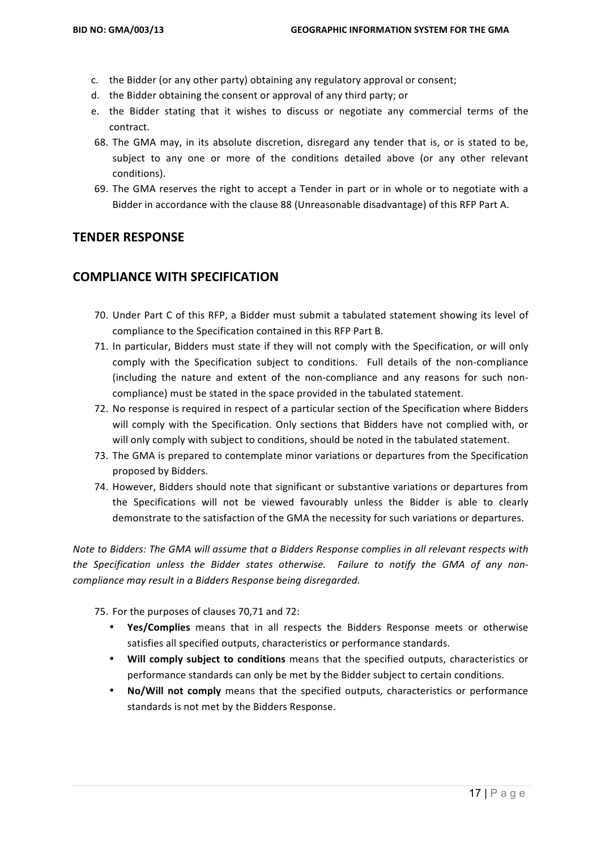- c. the Bidder (or any other party) obtaining any regulatory approval or consent;
- d. the Bidder obtaining the consent or approval of any third party; or
- e. the Bidder stating that it wishes to discuss or negotiate any commercial terms of the contract.
- 68. The GMA may, in its absolute discretion, disregard any tender that is, or is stated to be, subject to any one or more of the conditions detailed above (or any other relevant conditions).
- 69. The GMA reserves the right to accept a Tender in part or in whole or to negotiate with a Bidder in accordance with the clause 88 (Unreasonable disadvantage) of this RFP Part A.

#### **TENDER RESPONSE**

# **COMPLIANCE WITH SPECIFICATION**

- 70. Under Part C of this RFP, a Bidder must submit a tabulated statement showing its level of compliance to the Specification contained in this RFP Part B.
- 71. In particular, Bidders must state if they will not comply with the Specification, or will only comply with the Specification subject to conditions. Full details of the non-compliance (including the nature and extent of the non-compliance and any reasons for such noncompliance) must be stated in the space provided in the tabulated statement.
- 72. No response is required in respect of a particular section of the Specification where Bidders will comply with the Specification. Only sections that Bidders have not complied with, or will only comply with subject to conditions, should be noted in the tabulated statement.
- 73. The GMA is prepared to contemplate minor variations or departures from the Specification proposed by Bidders.
- 74. However, Bidders should note that significant or substantive variations or departures from the Specifications will not be viewed favourably unless the Bidder is able to clearly demonstrate to the satisfaction of the GMA the necessity for such variations or departures.

*Note to Bidders: The GMA will assume that a Bidders Response complies in all relevant respects with* the Specification unless the Bidder states otherwise. Failure to notify the GMA of any non*compliance may result in a Bidders Response being disregarded.* 

75. For the purposes of clauses 70,71 and 72:

- Yes/Complies means that in all respects the Bidders Response meets or otherwise satisfies all specified outputs, characteristics or performance standards.
- **Will comply subject to conditions** means that the specified outputs, characteristics or performance standards can only be met by the Bidder subject to certain conditions.
- **No/Will not comply** means that the specified outputs, characteristics or performance standards is not met by the Bidders Response.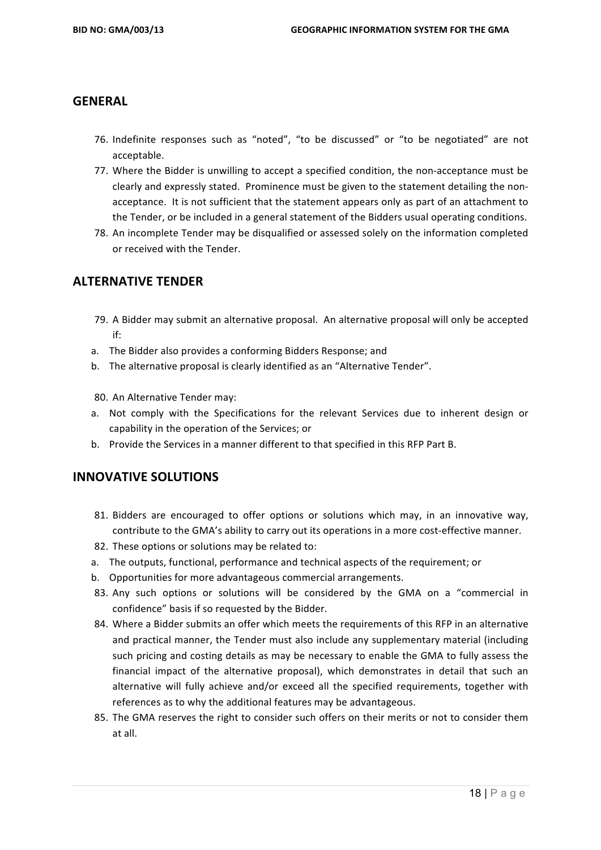## **GENERAL**

- 76. Indefinite responses such as "noted", "to be discussed" or "to be negotiated" are not acceptable.
- 77. Where the Bidder is unwilling to accept a specified condition, the non-acceptance must be clearly and expressly stated. Prominence must be given to the statement detailing the nonacceptance. It is not sufficient that the statement appears only as part of an attachment to the Tender, or be included in a general statement of the Bidders usual operating conditions.
- 78. An incomplete Tender may be disqualified or assessed solely on the information completed or received with the Tender.

## **ALTERNATIVE TENDER**

- 79. A Bidder may submit an alternative proposal. An alternative proposal will only be accepted if:
- a. The Bidder also provides a conforming Bidders Response; and
- b. The alternative proposal is clearly identified as an "Alternative Tender".
- 80. An Alternative Tender may:
- a. Not comply with the Specifications for the relevant Services due to inherent design or capability in the operation of the Services; or
- b. Provide the Services in a manner different to that specified in this RFP Part B.

#### **INNOVATIVE SOLUTIONS**

- 81. Bidders are encouraged to offer options or solutions which may, in an innovative way. contribute to the GMA's ability to carry out its operations in a more cost-effective manner.
- 82. These options or solutions may be related to:
- a. The outputs, functional, performance and technical aspects of the requirement; or
- b. Opportunities for more advantageous commercial arrangements.
- 83. Any such options or solutions will be considered by the GMA on a "commercial in confidence" basis if so requested by the Bidder.
- 84. Where a Bidder submits an offer which meets the requirements of this RFP in an alternative and practical manner, the Tender must also include any supplementary material (including such pricing and costing details as may be necessary to enable the GMA to fully assess the financial impact of the alternative proposal), which demonstrates in detail that such an alternative will fully achieve and/or exceed all the specified requirements, together with references as to why the additional features may be advantageous.
- 85. The GMA reserves the right to consider such offers on their merits or not to consider them at all.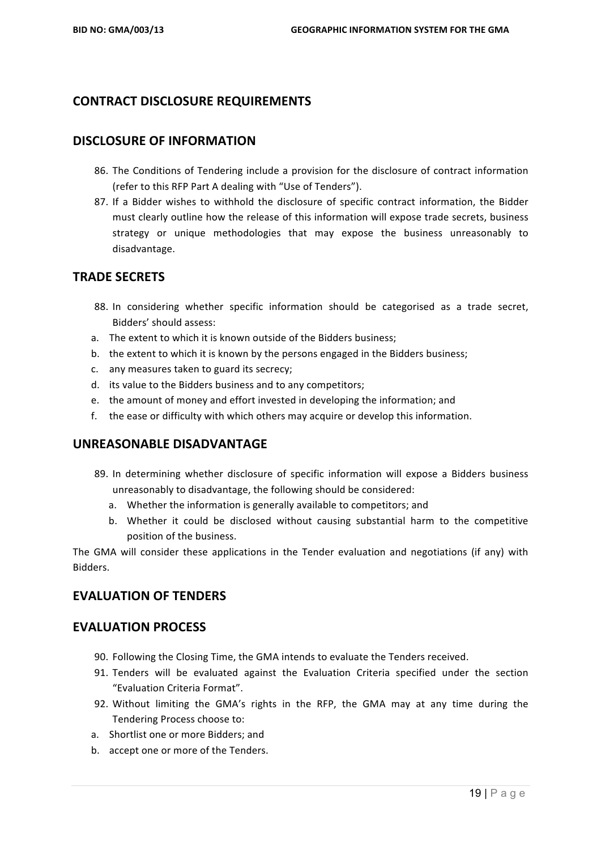# **CONTRACT DISCLOSURE REQUIREMENTS**

#### **DISCLOSURE OF INFORMATION**

- 86. The Conditions of Tendering include a provision for the disclosure of contract information (refer to this RFP Part A dealing with "Use of Tenders").
- 87. If a Bidder wishes to withhold the disclosure of specific contract information, the Bidder must clearly outline how the release of this information will expose trade secrets, business strategy or unique methodologies that may expose the business unreasonably to disadvantage.

# **TRADE SECRETS**

- 88. In considering whether specific information should be categorised as a trade secret, Bidders' should assess:
- a. The extent to which it is known outside of the Bidders business:
- b. the extent to which it is known by the persons engaged in the Bidders business;
- c. any measures taken to guard its secrecy;
- d. its value to the Bidders business and to any competitors;
- e. the amount of money and effort invested in developing the information; and
- f. the ease or difficulty with which others may acquire or develop this information.

#### **UNREASONABLE DISADVANTAGE**

- 89. In determining whether disclosure of specific information will expose a Bidders business unreasonably to disadvantage, the following should be considered:
	- a. Whether the information is generally available to competitors; and
	- b. Whether it could be disclosed without causing substantial harm to the competitive position of the business.

The GMA will consider these applications in the Tender evaluation and negotiations (if any) with Bidders.

# **EVALUATION OF TENDERS**

#### **EVALUATION PROCESS**

- 90. Following the Closing Time, the GMA intends to evaluate the Tenders received.
- 91. Tenders will be evaluated against the Evaluation Criteria specified under the section "Evaluation Criteria Format".
- 92. Without limiting the GMA's rights in the RFP, the GMA may at any time during the Tendering Process choose to:
- a. Shortlist one or more Bidders; and
- b. accept one or more of the Tenders.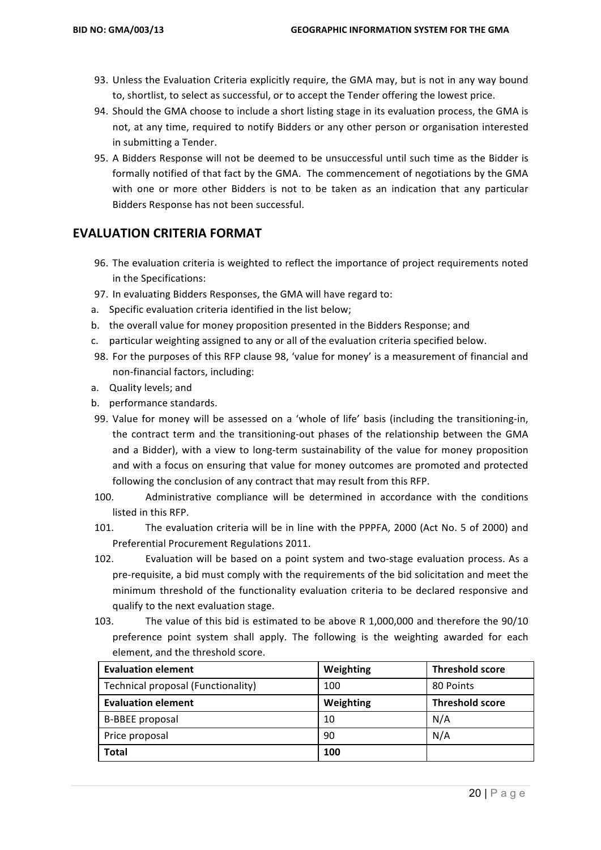- 93. Unless the Evaluation Criteria explicitly require, the GMA may, but is not in any way bound to, shortlist, to select as successful, or to accept the Tender offering the lowest price.
- 94. Should the GMA choose to include a short listing stage in its evaluation process, the GMA is not, at any time, required to notify Bidders or any other person or organisation interested in submitting a Tender.
- 95. A Bidders Response will not be deemed to be unsuccessful until such time as the Bidder is formally notified of that fact by the GMA. The commencement of negotiations by the GMA with one or more other Bidders is not to be taken as an indication that any particular Bidders Response has not been successful.

#### **EVALUATION CRITERIA FORMAT**

- 96. The evaluation criteria is weighted to reflect the importance of project requirements noted in the Specifications:
- 97. In evaluating Bidders Responses, the GMA will have regard to:
- a. Specific evaluation criteria identified in the list below;
- b. the overall value for money proposition presented in the Bidders Response; and
- c. particular weighting assigned to any or all of the evaluation criteria specified below.
- 98. For the purposes of this RFP clause 98, 'value for money' is a measurement of financial and non-financial factors, including:
- a. Quality levels; and
- b. performance standards.
- 99. Value for money will be assessed on a 'whole of life' basis (including the transitioning-in, the contract term and the transitioning-out phases of the relationship between the GMA and a Bidder), with a view to long-term sustainability of the value for money proposition and with a focus on ensuring that value for money outcomes are promoted and protected following the conclusion of any contract that may result from this RFP.
- 100. Administrative compliance will be determined in accordance with the conditions listed in this RFP.
- 101. The evaluation criteria will be in line with the PPPFA, 2000 (Act No. 5 of 2000) and Preferential Procurement Regulations 2011.
- 102. Evaluation will be based on a point system and two-stage evaluation process. As a pre-requisite, a bid must comply with the requirements of the bid solicitation and meet the minimum threshold of the functionality evaluation criteria to be declared responsive and qualify to the next evaluation stage.
- 103. The value of this bid is estimated to be above R 1,000,000 and therefore the 90/10 preference point system shall apply. The following is the weighting awarded for each element, and the threshold score.

| <b>Evaluation element</b>          | Weighting | <b>Threshold score</b> |
|------------------------------------|-----------|------------------------|
| Technical proposal (Functionality) | 100       | 80 Points              |
| <b>Evaluation element</b>          | Weighting | <b>Threshold score</b> |
| <b>B-BBEE</b> proposal             | 10        | N/A                    |
| Price proposal                     | 90        | N/A                    |
| <b>Total</b>                       | 100       |                        |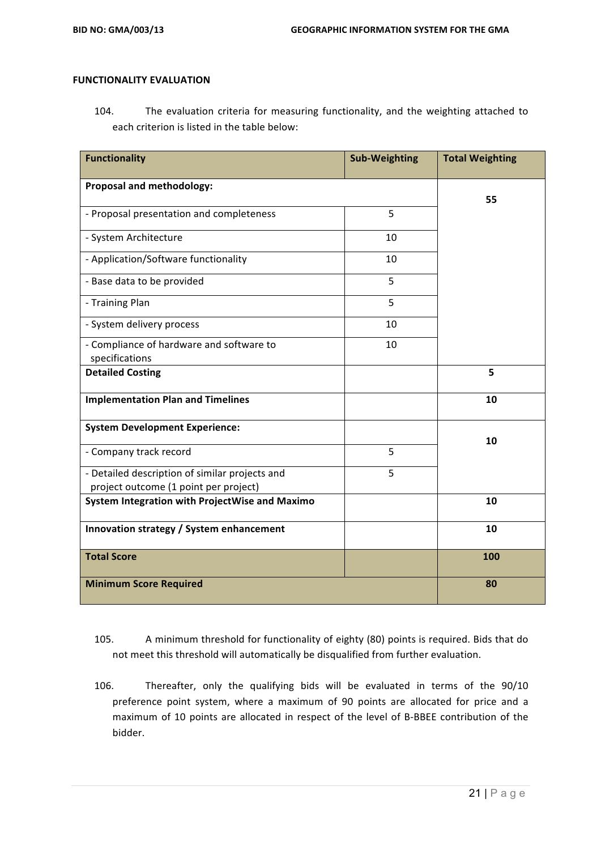#### **FUNCTIONALITY EVALUATION**

104. The evaluation criteria for measuring functionality, and the weighting attached to each criterion is listed in the table below:

| <b>Functionality</b>                                                                    | <b>Sub-Weighting</b> | <b>Total Weighting</b> |
|-----------------------------------------------------------------------------------------|----------------------|------------------------|
| Proposal and methodology:                                                               |                      | 55                     |
| - Proposal presentation and completeness                                                | 5                    |                        |
| - System Architecture                                                                   | 10                   |                        |
| - Application/Software functionality                                                    | 10                   |                        |
| - Base data to be provided                                                              | 5                    |                        |
| - Training Plan                                                                         | 5                    |                        |
| - System delivery process                                                               | 10                   |                        |
| - Compliance of hardware and software to<br>specifications                              | 10                   |                        |
| <b>Detailed Costing</b>                                                                 |                      | 5                      |
| <b>Implementation Plan and Timelines</b>                                                |                      | 10                     |
| <b>System Development Experience:</b>                                                   |                      | 10                     |
| - Company track record                                                                  | 5                    |                        |
| - Detailed description of similar projects and<br>project outcome (1 point per project) | 5                    |                        |
| System Integration with ProjectWise and Maximo                                          |                      | 10                     |
| Innovation strategy / System enhancement                                                |                      | 10                     |
| <b>Total Score</b>                                                                      |                      | 100                    |
| <b>Minimum Score Required</b>                                                           |                      | 80                     |

- 105. A minimum threshold for functionality of eighty (80) points is required. Bids that do not meet this threshold will automatically be disqualified from further evaluation.
- 106. Thereafter, only the qualifying bids will be evaluated in terms of the 90/10 preference point system, where a maximum of 90 points are allocated for price and a maximum of 10 points are allocated in respect of the level of B-BBEE contribution of the bidder.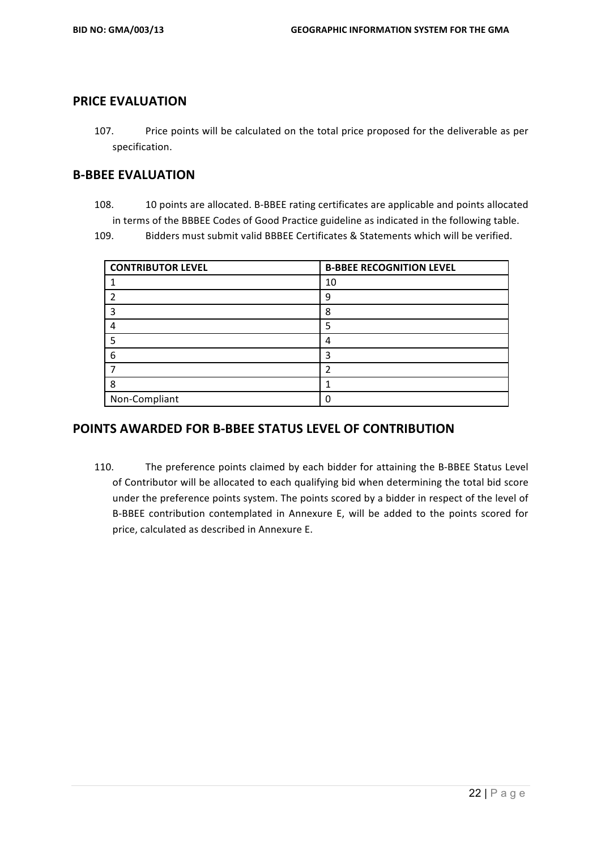## **PRICE EVALUATION**

107. Price points will be calculated on the total price proposed for the deliverable as per specification. 

#### **B-BBEE EVALUATION**

108. 10 points are allocated. B-BBEE rating certificates are applicable and points allocated in terms of the BBBEE Codes of Good Practice guideline as indicated in the following table.

109. Bidders must submit valid BBBEE Certificates & Statements which will be verified.

| <b>CONTRIBUTOR LEVEL</b> | <b>B-BBEE RECOGNITION LEVEL</b> |
|--------------------------|---------------------------------|
|                          | 10                              |
|                          | q                               |
|                          | 8                               |
|                          | 5                               |
| 5                        |                                 |
| 6                        |                                 |
|                          |                                 |
| 8                        |                                 |
| Non-Compliant            |                                 |

#### **POINTS AWARDED FOR B-BBEE STATUS LEVEL OF CONTRIBUTION**

110. The preference points claimed by each bidder for attaining the B-BBEE Status Level of Contributor will be allocated to each qualifying bid when determining the total bid score under the preference points system. The points scored by a bidder in respect of the level of B-BBEE contribution contemplated in Annexure E, will be added to the points scored for price, calculated as described in Annexure E.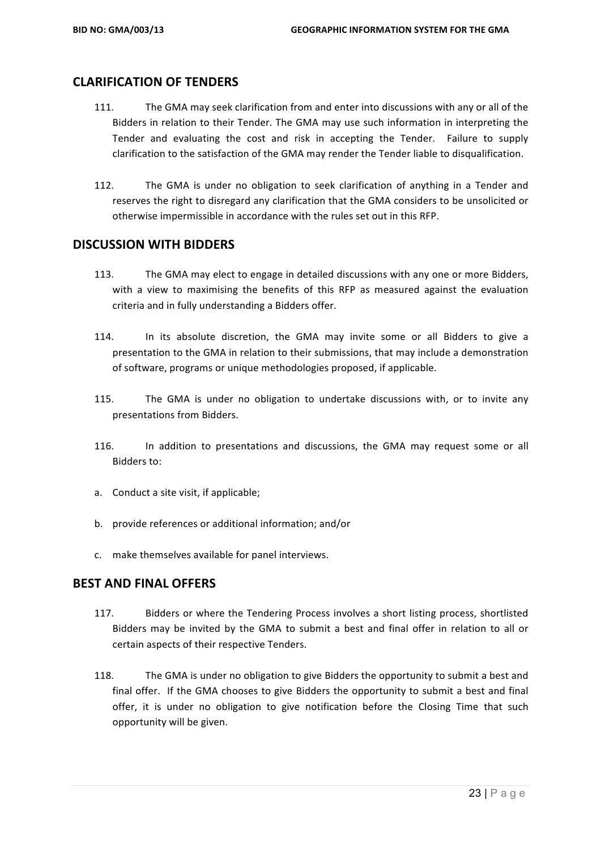## **CLARIFICATION OF TENDERS**

- 111. The GMA may seek clarification from and enter into discussions with any or all of the Bidders in relation to their Tender. The GMA may use such information in interpreting the Tender and evaluating the cost and risk in accepting the Tender. Failure to supply clarification to the satisfaction of the GMA may render the Tender liable to disqualification.
- 112. The GMA is under no obligation to seek clarification of anything in a Tender and reserves the right to disregard any clarification that the GMA considers to be unsolicited or otherwise impermissible in accordance with the rules set out in this RFP.

#### **DISCUSSION WITH BIDDERS**

- 113. The GMA may elect to engage in detailed discussions with any one or more Bidders, with a view to maximising the benefits of this RFP as measured against the evaluation criteria and in fully understanding a Bidders offer.
- 114. In its absolute discretion, the GMA may invite some or all Bidders to give a presentation to the GMA in relation to their submissions, that may include a demonstration of software, programs or unique methodologies proposed, if applicable.
- 115. The GMA is under no obligation to undertake discussions with, or to invite any presentations from Bidders.
- 116. In addition to presentations and discussions, the GMA may request some or all Bidders to:
- a. Conduct a site visit, if applicable;
- b. provide references or additional information; and/or
- c. make themselves available for panel interviews.

#### **BEST AND FINAL OFFERS**

- 117. Bidders or where the Tendering Process involves a short listing process, shortlisted Bidders may be invited by the GMA to submit a best and final offer in relation to all or certain aspects of their respective Tenders.
- 118. The GMA is under no obligation to give Bidders the opportunity to submit a best and final offer. If the GMA chooses to give Bidders the opportunity to submit a best and final offer, it is under no obligation to give notification before the Closing Time that such opportunity will be given.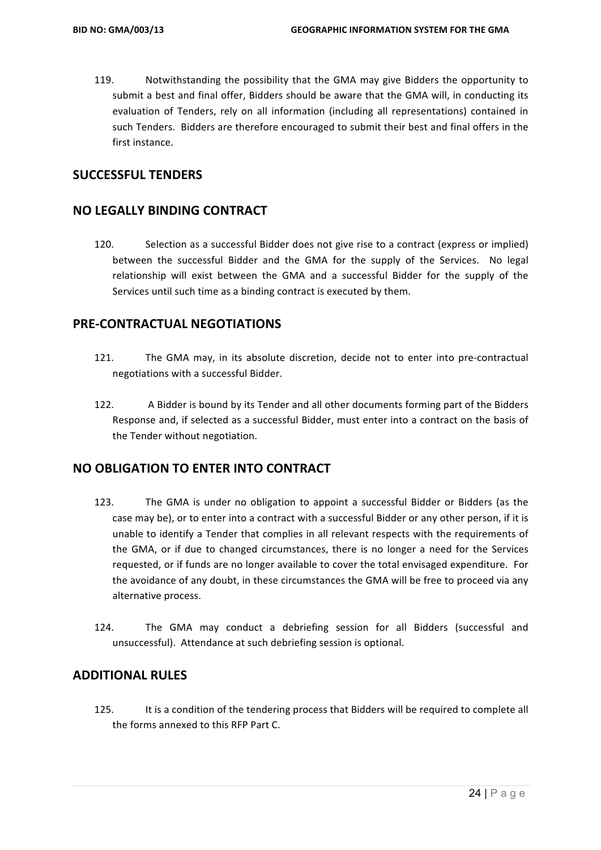119. Notwithstanding the possibility that the GMA may give Bidders the opportunity to submit a best and final offer, Bidders should be aware that the GMA will, in conducting its evaluation of Tenders, rely on all information (including all representations) contained in such Tenders. Bidders are therefore encouraged to submit their best and final offers in the first instance.

#### **SUCCESSFUL TENDERS**

#### **NO LEGALLY BINDING CONTRACT**

120. Selection as a successful Bidder does not give rise to a contract (express or implied) between the successful Bidder and the GMA for the supply of the Services. No legal relationship will exist between the GMA and a successful Bidder for the supply of the Services until such time as a binding contract is executed by them.

#### **PRE-CONTRACTUAL NEGOTIATIONS**

- 121. The GMA may, in its absolute discretion, decide not to enter into pre-contractual negotiations with a successful Bidder.
- 122. A Bidder is bound by its Tender and all other documents forming part of the Bidders Response and, if selected as a successful Bidder, must enter into a contract on the basis of the Tender without negotiation.

#### **NO OBLIGATION TO ENTER INTO CONTRACT**

- 123. The GMA is under no obligation to appoint a successful Bidder or Bidders (as the case may be), or to enter into a contract with a successful Bidder or any other person, if it is unable to identify a Tender that complies in all relevant respects with the requirements of the GMA, or if due to changed circumstances, there is no longer a need for the Services requested, or if funds are no longer available to cover the total envisaged expenditure. For the avoidance of any doubt, in these circumstances the GMA will be free to proceed via any alternative process.
- 124. The GMA may conduct a debriefing session for all Bidders (successful and unsuccessful). Attendance at such debriefing session is optional.

#### **ADDITIONAL RULES**

125. It is a condition of the tendering process that Bidders will be required to complete all the forms annexed to this RFP Part C.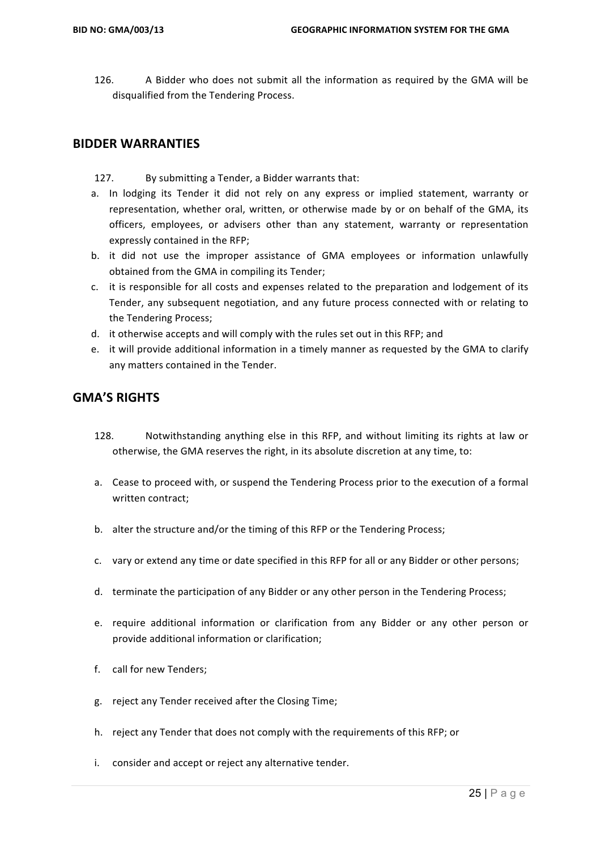126. A Bidder who does not submit all the information as required by the GMA will be disqualified from the Tendering Process.

#### **BIDDER WARRANTIES**

- 127. By submitting a Tender, a Bidder warrants that:
- a. In lodging its Tender it did not rely on any express or implied statement, warranty or representation, whether oral, written, or otherwise made by or on behalf of the GMA, its officers, employees, or advisers other than any statement, warranty or representation expressly contained in the RFP;
- b. it did not use the improper assistance of GMA employees or information unlawfully obtained from the GMA in compiling its Tender:
- c. it is responsible for all costs and expenses related to the preparation and lodgement of its Tender, any subsequent negotiation, and any future process connected with or relating to the Tendering Process;
- d. it otherwise accepts and will comply with the rules set out in this RFP; and
- e. it will provide additional information in a timely manner as requested by the GMA to clarify any matters contained in the Tender.

#### **GMA'S RIGHTS**

- 128. Notwithstanding anything else in this RFP, and without limiting its rights at law or otherwise, the GMA reserves the right, in its absolute discretion at any time, to:
- a. Cease to proceed with, or suspend the Tendering Process prior to the execution of a formal written contract;
- b. alter the structure and/or the timing of this RFP or the Tendering Process;
- c. vary or extend any time or date specified in this RFP for all or any Bidder or other persons;
- d. terminate the participation of any Bidder or any other person in the Tendering Process;
- e. require additional information or clarification from any Bidder or any other person or provide additional information or clarification:
- f. call for new Tenders:
- g. reject any Tender received after the Closing Time;
- h. reject any Tender that does not comply with the requirements of this RFP; or
- i. consider and accept or reject any alternative tender.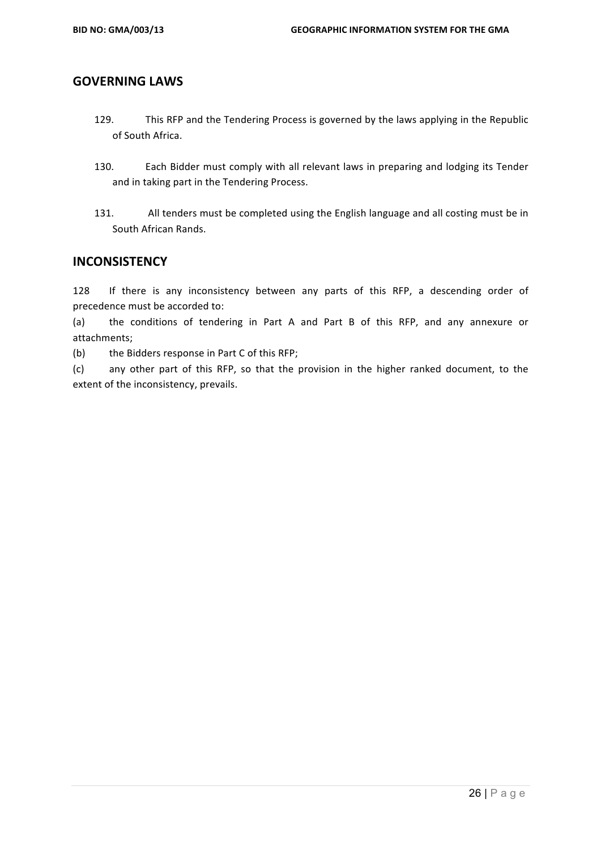#### **GOVERNING LAWS**

- 129. This RFP and the Tendering Process is governed by the laws applying in the Republic of South Africa.
- 130. Each Bidder must comply with all relevant laws in preparing and lodging its Tender and in taking part in the Tendering Process.
- 131. All tenders must be completed using the English language and all costing must be in South African Rands.

#### **INCONSISTENCY**

128 If there is any inconsistency between any parts of this RFP, a descending order of precedence must be accorded to:

(a) the conditions of tendering in Part A and Part B of this RFP, and any annexure or attachments;

(b) the Bidders response in Part C of this RFP;

(c) any other part of this RFP, so that the provision in the higher ranked document, to the extent of the inconsistency, prevails.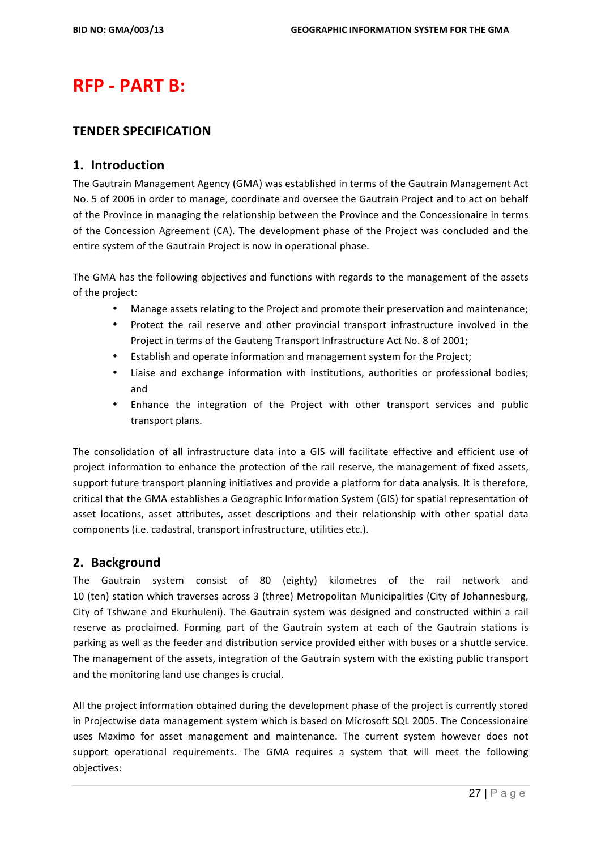# **RFP - PART B:**

#### **TENDER SPECIFICATION**

#### **1. Introduction**

The Gautrain Management Agency (GMA) was established in terms of the Gautrain Management Act No. 5 of 2006 in order to manage, coordinate and oversee the Gautrain Project and to act on behalf of the Province in managing the relationship between the Province and the Concessionaire in terms of the Concession Agreement (CA). The development phase of the Project was concluded and the entire system of the Gautrain Project is now in operational phase.

The GMA has the following objectives and functions with regards to the management of the assets of the project:

- Manage assets relating to the Project and promote their preservation and maintenance;
- Protect the rail reserve and other provincial transport infrastructure involved in the Project in terms of the Gauteng Transport Infrastructure Act No. 8 of 2001;
- Establish and operate information and management system for the Project;
- Liaise and exchange information with institutions, authorities or professional bodies; and
- Enhance the integration of the Project with other transport services and public transport plans.

The consolidation of all infrastructure data into a GIS will facilitate effective and efficient use of project information to enhance the protection of the rail reserve, the management of fixed assets, support future transport planning initiatives and provide a platform for data analysis. It is therefore, critical that the GMA establishes a Geographic Information System (GIS) for spatial representation of asset locations, asset attributes, asset descriptions and their relationship with other spatial data components (i.e. cadastral, transport infrastructure, utilities etc.).

# **2. Background**

The Gautrain system consist of 80 (eighty) kilometres of the rail network and 10 (ten) station which traverses across 3 (three) Metropolitan Municipalities (City of Johannesburg, City of Tshwane and Ekurhuleni). The Gautrain system was designed and constructed within a rail reserve as proclaimed. Forming part of the Gautrain system at each of the Gautrain stations is parking as well as the feeder and distribution service provided either with buses or a shuttle service. The management of the assets, integration of the Gautrain system with the existing public transport and the monitoring land use changes is crucial.

All the project information obtained during the development phase of the project is currently stored in Projectwise data management system which is based on Microsoft SQL 2005. The Concessionaire uses Maximo for asset management and maintenance. The current system however does not support operational requirements. The GMA requires a system that will meet the following objectives: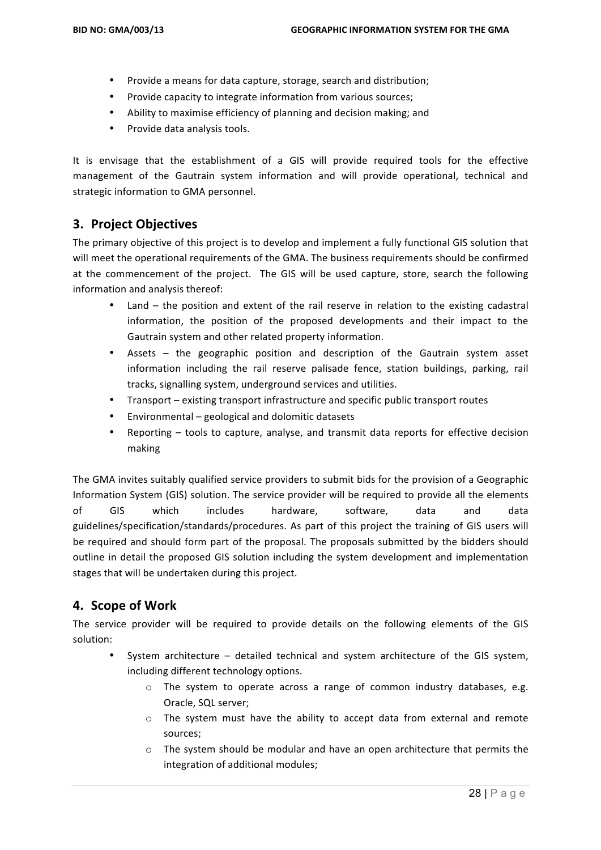- Provide a means for data capture, storage, search and distribution;
- Provide capacity to integrate information from various sources;
- Ability to maximise efficiency of planning and decision making; and
- Provide data analysis tools.

It is envisage that the establishment of a GIS will provide required tools for the effective management of the Gautrain system information and will provide operational, technical and strategic information to GMA personnel.

## **3. Project Objectives**

The primary objective of this project is to develop and implement a fully functional GIS solution that will meet the operational requirements of the GMA. The business requirements should be confirmed at the commencement of the project. The GIS will be used capture, store, search the following information and analysis thereof:

- Land  $-$  the position and extent of the rail reserve in relation to the existing cadastral information, the position of the proposed developments and their impact to the Gautrain system and other related property information.
- Assets  $-$  the geographic position and description of the Gautrain system asset information including the rail reserve palisade fence, station buildings, parking, rail tracks, signalling system, underground services and utilities.
- Transport existing transport infrastructure and specific public transport routes
- $\bullet$  Environmental geological and dolomitic datasets
- Reporting tools to capture, analyse, and transmit data reports for effective decision making

The GMA invites suitably qualified service providers to submit bids for the provision of a Geographic Information System (GIS) solution. The service provider will be required to provide all the elements of GIS which includes hardware, software, data and data guidelines/specification/standards/procedures. As part of this project the training of GIS users will be required and should form part of the proposal. The proposals submitted by the bidders should outline in detail the proposed GIS solution including the system development and implementation stages that will be undertaken during this project.

#### **4. Scope of Work**

The service provider will be required to provide details on the following elements of the GIS solution:

- System architecture  $-$  detailed technical and system architecture of the GIS system, including different technology options.
	- $\circ$  The system to operate across a range of common industry databases, e.g. Oracle, SQL server;
	- $\circ$  The system must have the ability to accept data from external and remote sources;
	- $\circ$  The system should be modular and have an open architecture that permits the integration of additional modules;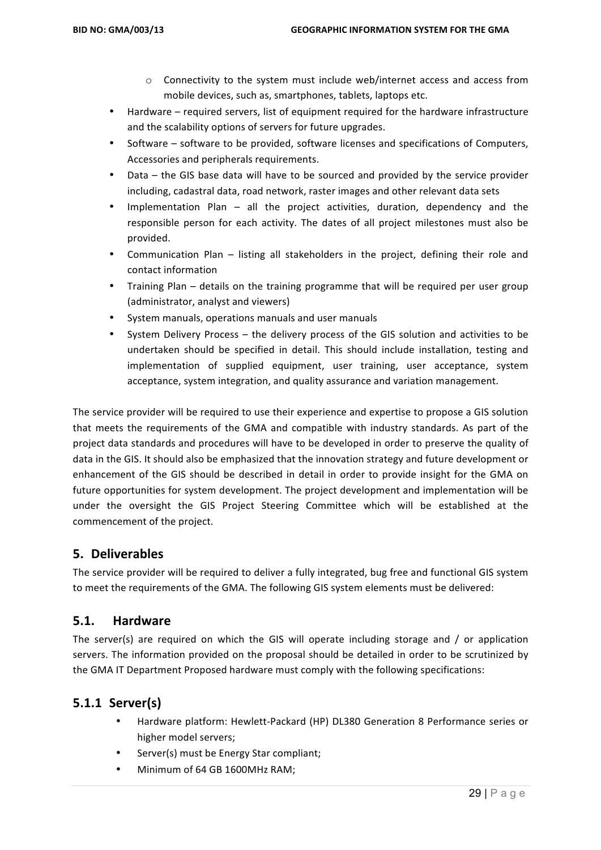- $\circ$  Connectivity to the system must include web/internet access and access from mobile devices, such as, smartphones, tablets, laptops etc.
- Hardware required servers, list of equipment required for the hardware infrastructure and the scalability options of servers for future upgrades.
- Software software to be provided, software licenses and specifications of Computers, Accessories and peripherals requirements.
- Data the GIS base data will have to be sourced and provided by the service provider including, cadastral data, road network, raster images and other relevant data sets
- Implementation  $Plan all$  the project activities, duration, dependency and the responsible person for each activity. The dates of all project milestones must also be provided.
- Communication Plan listing all stakeholders in the project, defining their role and contact information
- Training Plan details on the training programme that will be required per user group (administrator, analyst and viewers)
- System manuals, operations manuals and user manuals
- System Delivery Process  $-$  the delivery process of the GIS solution and activities to be undertaken should be specified in detail. This should include installation, testing and implementation of supplied equipment, user training, user acceptance, system acceptance, system integration, and quality assurance and variation management.

The service provider will be required to use their experience and expertise to propose a GIS solution that meets the requirements of the GMA and compatible with industry standards. As part of the project data standards and procedures will have to be developed in order to preserve the quality of data in the GIS. It should also be emphasized that the innovation strategy and future development or enhancement of the GIS should be described in detail in order to provide insight for the GMA on future opportunities for system development. The project development and implementation will be under the oversight the GIS Project Steering Committee which will be established at the commencement of the project.

# **5. Deliverables**

The service provider will be required to deliver a fully integrated, bug free and functional GIS system to meet the requirements of the GMA. The following GIS system elements must be delivered:

#### **5.1. Hardware**

The server(s) are required on which the GIS will operate including storage and  $/$  or application servers. The information provided on the proposal should be detailed in order to be scrutinized by the GMA IT Department Proposed hardware must comply with the following specifications:

# **5.1.1 Server(s)**

- Hardware platform: Hewlett-Packard (HP) DL380 Generation 8 Performance series or higher model servers;
- Server(s) must be Energy Star compliant;
- Minimum of 64 GB 1600MHz RAM;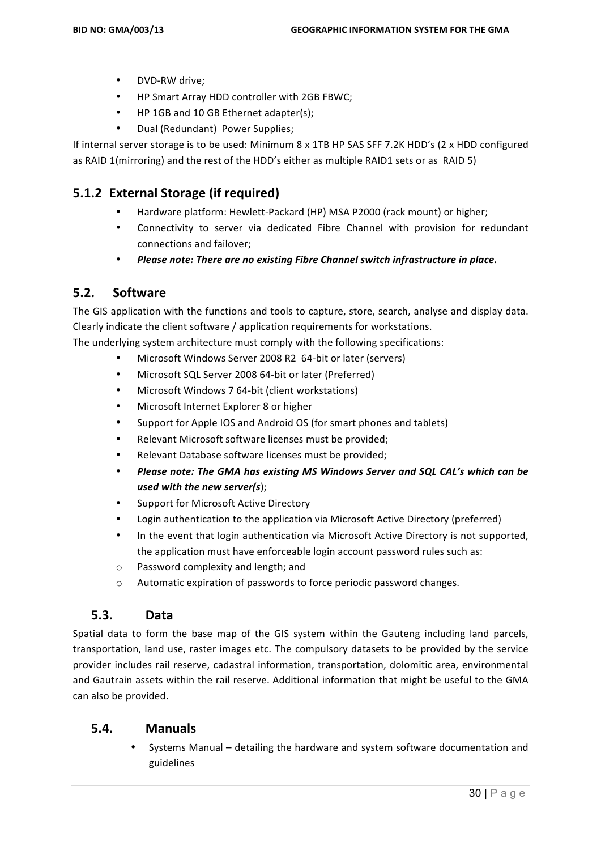- DVD-RW drive;
- HP Smart Array HDD controller with 2GB FBWC;
- HP 1GB and 10 GB Ethernet adapter(s);
- Dual (Redundant) Power Supplies;

If internal server storage is to be used: Minimum  $8 \times 1$ TB HP SAS SFF 7.2K HDD's (2 x HDD configured as RAID 1(mirroring) and the rest of the HDD's either as multiple RAID1 sets or as RAID 5)

# **5.1.2 External Storage (if required)**

- Hardware platform: Hewlett-Packard (HP) MSA P2000 (rack mount) or higher;
- Connectivity to server via dedicated Fibre Channel with provision for redundant connections and failover;
- Please note: There are no existing Fibre Channel switch infrastructure in place.

#### **5.2. Software**

The GIS application with the functions and tools to capture, store, search, analyse and display data. Clearly indicate the client software / application requirements for workstations.

The underlying system architecture must comply with the following specifications:

- Microsoft Windows Server 2008 R2 64-bit or later (servers)
- Microsoft SQL Server 2008 64-bit or later (Preferred)
- Microsoft Windows 7 64-bit (client workstations)
- Microsoft Internet Explorer 8 or higher
- Support for Apple IOS and Android OS (for smart phones and tablets)
- Relevant Microsoft software licenses must be provided;
- Relevant Database software licenses must be provided;
- Please note: The GMA has existing MS Windows Server and SQL CAL's which can be *used with the new server(s*);
- Support for Microsoft Active Directory
- Login authentication to the application via Microsoft Active Directory (preferred)
- In the event that login authentication via Microsoft Active Directory is not supported, the application must have enforceable login account password rules such as:
- o Password complexity and length; and
- o Automatic expiration of passwords to force periodic password changes.

#### **5.3. Data**

Spatial data to form the base map of the GIS system within the Gauteng including land parcels, transportation, land use, raster images etc. The compulsory datasets to be provided by the service provider includes rail reserve, cadastral information, transportation, dolomitic area, environmental and Gautrain assets within the rail reserve. Additional information that might be useful to the GMA can also be provided.

#### **5.4. Manuals**

Systems Manual – detailing the hardware and system software documentation and guidelines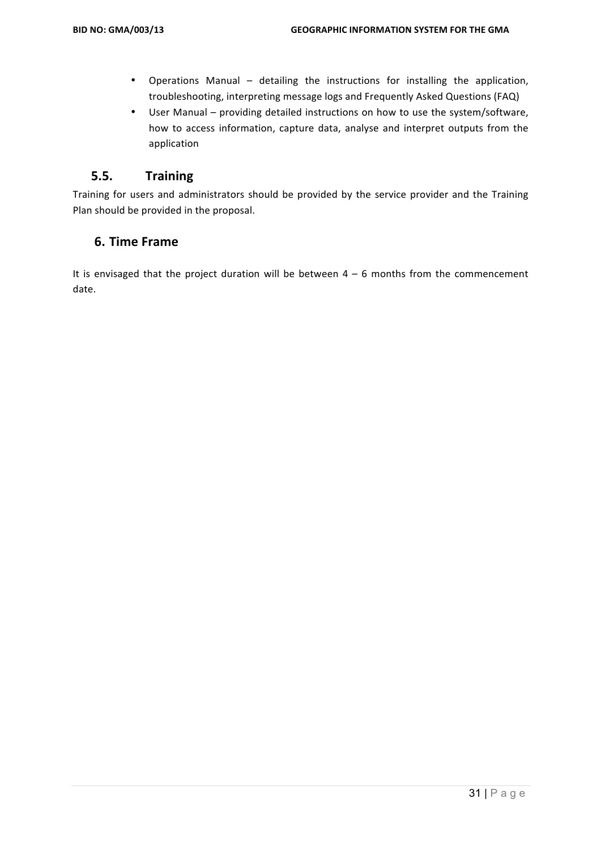- Operations Manual detailing the instructions for installing the application, troubleshooting, interpreting message logs and Frequently Asked Questions (FAQ)
- User Manual providing detailed instructions on how to use the system/software, how to access information, capture data, analyse and interpret outputs from the application

#### **5.5. Training**

Training for users and administrators should be provided by the service provider and the Training Plan should be provided in the proposal.

## **6. Time Frame**

It is envisaged that the project duration will be between  $4 - 6$  months from the commencement date.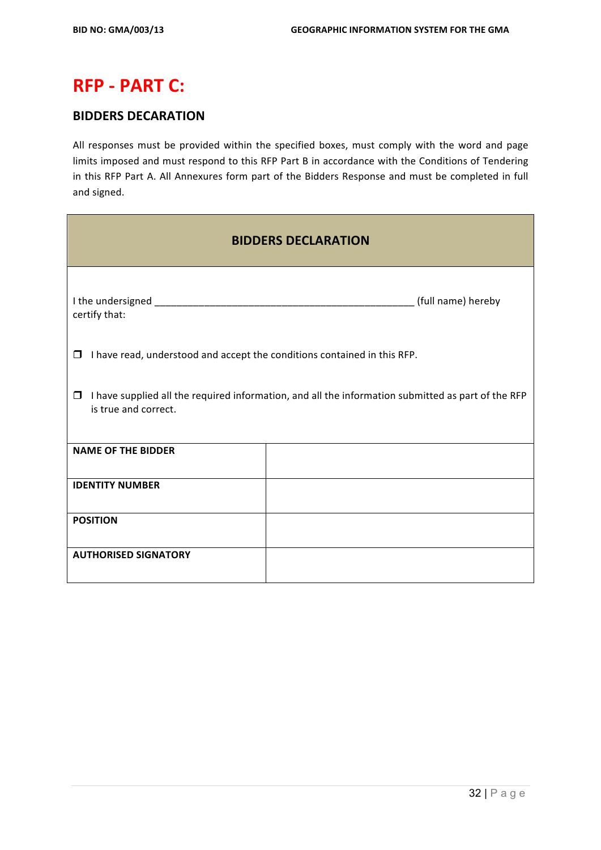# **RFP - PART C:**

# **BIDDERS DECARATION**

All responses must be provided within the specified boxes, must comply with the word and page limits imposed and must respond to this RFP Part B in accordance with the Conditions of Tendering in this RFP Part A. All Annexures form part of the Bidders Response and must be completed in full and signed.

| <b>BIDDERS DECLARATION</b>                                                                                                           |  |  |  |  |
|--------------------------------------------------------------------------------------------------------------------------------------|--|--|--|--|
| certify that:                                                                                                                        |  |  |  |  |
| I have read, understood and accept the conditions contained in this RFP.<br>$\Box$                                                   |  |  |  |  |
| I have supplied all the required information, and all the information submitted as part of the RFP<br>$\Box$<br>is true and correct. |  |  |  |  |
| <b>NAME OF THE BIDDER</b>                                                                                                            |  |  |  |  |
| <b>IDENTITY NUMBER</b>                                                                                                               |  |  |  |  |
| <b>POSITION</b>                                                                                                                      |  |  |  |  |
| <b>AUTHORISED SIGNATORY</b>                                                                                                          |  |  |  |  |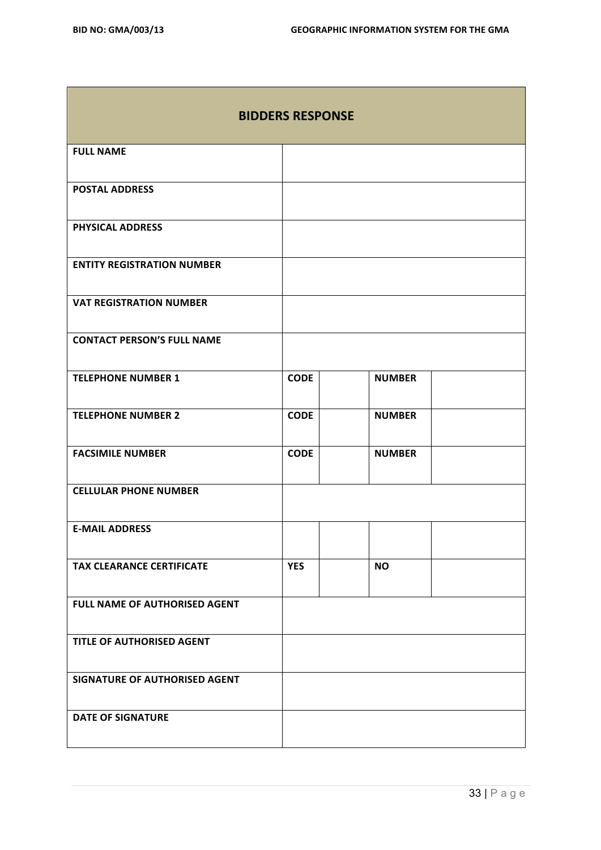| <b>BIDDERS RESPONSE</b>           |             |               |  |  |
|-----------------------------------|-------------|---------------|--|--|
| <b>FULL NAME</b>                  |             |               |  |  |
| <b>POSTAL ADDRESS</b>             |             |               |  |  |
| PHYSICAL ADDRESS                  |             |               |  |  |
| <b>ENTITY REGISTRATION NUMBER</b> |             |               |  |  |
| <b>VAT REGISTRATION NUMBER</b>    |             |               |  |  |
| <b>CONTACT PERSON'S FULL NAME</b> |             |               |  |  |
| <b>TELEPHONE NUMBER 1</b>         | <b>CODE</b> | <b>NUMBER</b> |  |  |
| <b>TELEPHONE NUMBER 2</b>         | <b>CODE</b> | <b>NUMBER</b> |  |  |
| <b>FACSIMILE NUMBER</b>           | <b>CODE</b> | <b>NUMBER</b> |  |  |
| <b>CELLULAR PHONE NUMBER</b>      |             |               |  |  |
| <b>E-MAIL ADDRESS</b>             |             |               |  |  |
| <b>TAX CLEARANCE CERTIFICATE</b>  | <b>YES</b>  | <b>NO</b>     |  |  |
| FULL NAME OF AUTHORISED AGENT     |             |               |  |  |
| TITLE OF AUTHORISED AGENT         |             |               |  |  |
| SIGNATURE OF AUTHORISED AGENT     |             |               |  |  |
| <b>DATE OF SIGNATURE</b>          |             |               |  |  |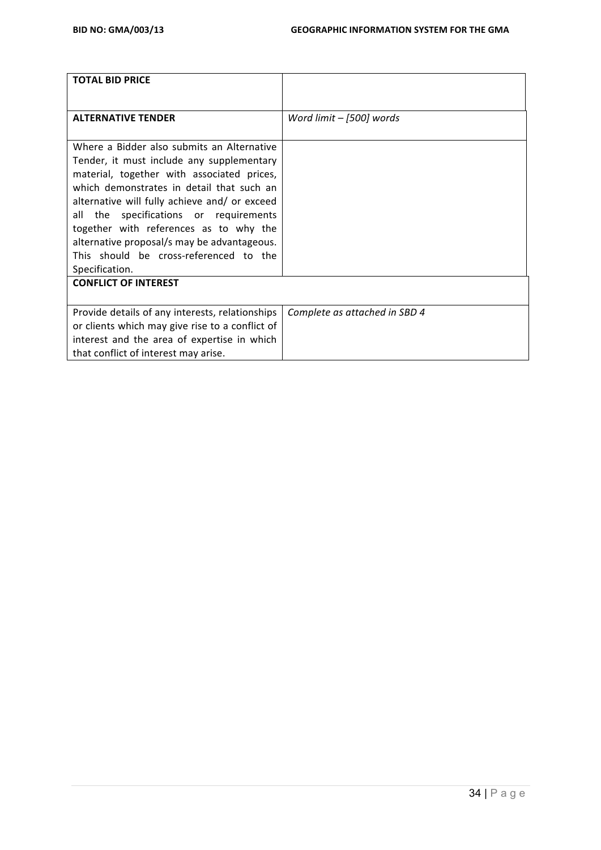| <b>TOTAL BID PRICE</b>                                                                                                                                                                                                                                                                                                                                                                                              |                               |
|---------------------------------------------------------------------------------------------------------------------------------------------------------------------------------------------------------------------------------------------------------------------------------------------------------------------------------------------------------------------------------------------------------------------|-------------------------------|
|                                                                                                                                                                                                                                                                                                                                                                                                                     |                               |
| <b>ALTERNATIVE TENDER</b>                                                                                                                                                                                                                                                                                                                                                                                           | Word limit - [500] words      |
| Where a Bidder also submits an Alternative<br>Tender, it must include any supplementary<br>material, together with associated prices,<br>which demonstrates in detail that such an<br>alternative will fully achieve and/ or exceed<br>all<br>the specifications or requirements<br>together with references as to why the<br>alternative proposal/s may be advantageous.<br>This should be cross-referenced to the |                               |
| Specification.                                                                                                                                                                                                                                                                                                                                                                                                      |                               |
| <b>CONFLICT OF INTEREST</b>                                                                                                                                                                                                                                                                                                                                                                                         |                               |
| Provide details of any interests, relationships<br>or clients which may give rise to a conflict of<br>interest and the area of expertise in which<br>that conflict of interest may arise.                                                                                                                                                                                                                           | Complete as attached in SBD 4 |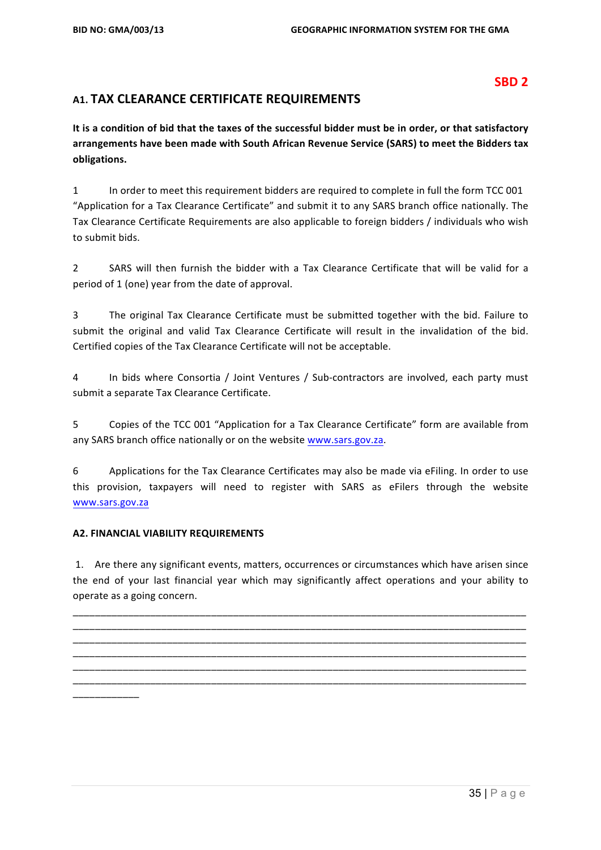#### **SBD 2**

## **A1. TAX CLEARANCE CERTIFICATE REQUIREMENTS**

It is a condition of bid that the taxes of the successful bidder must be in order, or that satisfactory arrangements have been made with South African Revenue Service (SARS) to meet the Bidders tax **obligations.**

1 In order to meet this requirement bidders are required to complete in full the form TCC 001 "Application for a Tax Clearance Certificate" and submit it to any SARS branch office nationally. The Tax Clearance Certificate Requirements are also applicable to foreign bidders / individuals who wish to submit bids.

2 SARS will then furnish the bidder with a Tax Clearance Certificate that will be valid for a period of 1 (one) year from the date of approval.

3 The original Tax Clearance Certificate must be submitted together with the bid. Failure to submit the original and valid Tax Clearance Certificate will result in the invalidation of the bid. Certified copies of the Tax Clearance Certificate will not be acceptable.

4 In bids where Consortia / Joint Ventures / Sub-contractors are involved, each party must submit a separate Tax Clearance Certificate.

5 Copies of the TCC 001 "Application for a Tax Clearance Certificate" form are available from any SARS branch office nationally or on the website www.sars.gov.za.

6 Applications for the Tax Clearance Certificates may also be made via eFiling. In order to use this provision, taxpayers will need to register with SARS as eFilers through the website www.sars.gov.za

#### **A2. FINANCIAL VIABILITY REQUIREMENTS**

1. Are there any significant events, matters, occurrences or circumstances which have arisen since the end of your last financial year which may significantly affect operations and your ability to operate as a going concern.

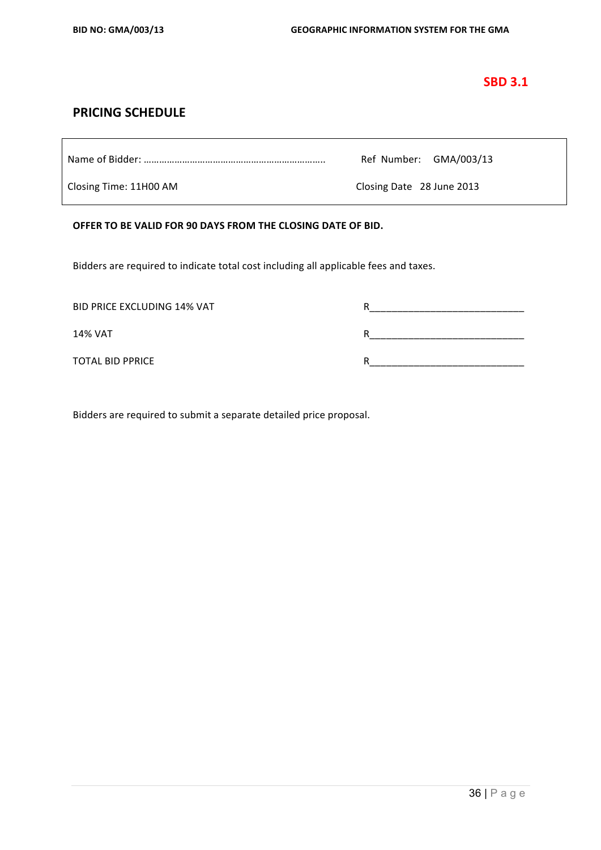#### **SBD 3.1**

#### **PRICING SCHEDULE**

|                        | Ref Number: GMA/003/13    |
|------------------------|---------------------------|
| Closing Time: 11H00 AM | Closing Date 28 June 2013 |

#### OFFER TO BE VALID FOR 90 DAYS FROM THE CLOSING DATE OF BID.

Bidders are required to indicate total cost including all applicable fees and taxes.

| <b>BID PRICE EXCLUDING 14% VAT</b> |   |
|------------------------------------|---|
| <b>14% VAT</b>                     |   |
| TOTAL BID PPRICE                   | R |

Bidders are required to submit a separate detailed price proposal.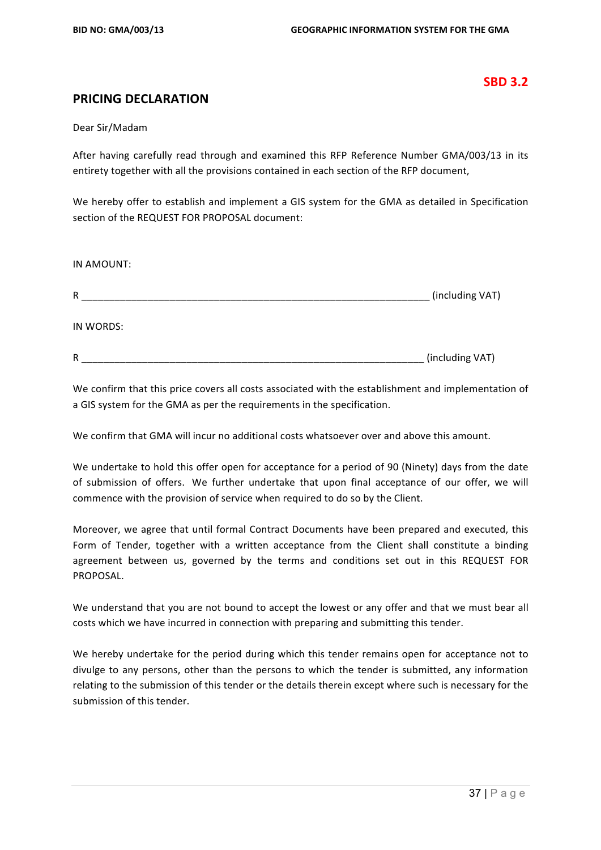#### **SBD 3.2**

#### **PRICING DECLARATION**

#### Dear Sir/Madam

After having carefully read through and examined this RFP Reference Number GMA/003/13 in its entirety together with all the provisions contained in each section of the RFP document,

We hereby offer to establish and implement a GIS system for the GMA as detailed in Specification section of the REQUEST FOR PROPOSAL document:

| IN AMOUNT: |                 |
|------------|-----------------|
| R          | (including VAT) |
| IN WORDS:  |                 |
| R          | (including VAT) |

We confirm that this price covers all costs associated with the establishment and implementation of a GIS system for the GMA as per the requirements in the specification.

We confirm that GMA will incur no additional costs whatsoever over and above this amount.

We undertake to hold this offer open for acceptance for a period of 90 (Ninety) days from the date of submission of offers. We further undertake that upon final acceptance of our offer, we will commence with the provision of service when required to do so by the Client.

Moreover, we agree that until formal Contract Documents have been prepared and executed, this Form of Tender, together with a written acceptance from the Client shall constitute a binding agreement between us, governed by the terms and conditions set out in this REQUEST FOR PROPOSAL.

We understand that you are not bound to accept the lowest or any offer and that we must bear all costs which we have incurred in connection with preparing and submitting this tender.

We hereby undertake for the period during which this tender remains open for acceptance not to divulge to any persons, other than the persons to which the tender is submitted, any information relating to the submission of this tender or the details therein except where such is necessary for the submission of this tender.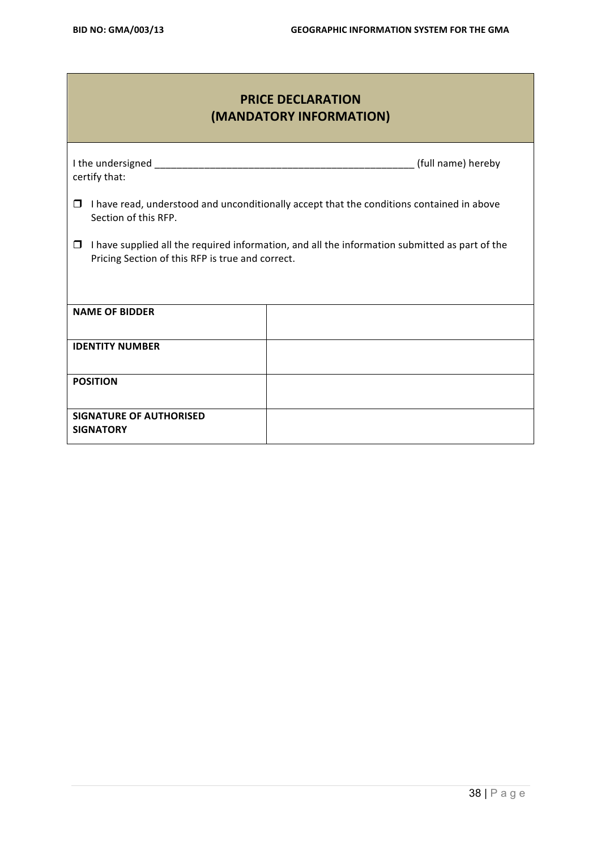# **PRICE DECLARATION (MANDATORY INFORMATION)**

| certify that:                                                                                                                                           | (full name) hereby                                                                        |  |  |  |  |
|---------------------------------------------------------------------------------------------------------------------------------------------------------|-------------------------------------------------------------------------------------------|--|--|--|--|
| □<br>Section of this RFP.                                                                                                                               | I have read, understood and unconditionally accept that the conditions contained in above |  |  |  |  |
| I have supplied all the required information, and all the information submitted as part of the<br>□<br>Pricing Section of this RFP is true and correct. |                                                                                           |  |  |  |  |
|                                                                                                                                                         |                                                                                           |  |  |  |  |
| <b>NAME OF BIDDER</b>                                                                                                                                   |                                                                                           |  |  |  |  |
| <b>IDENTITY NUMBER</b>                                                                                                                                  |                                                                                           |  |  |  |  |
| <b>POSITION</b>                                                                                                                                         |                                                                                           |  |  |  |  |
| <b>SIGNATURE OF AUTHORISED</b><br><b>SIGNATORY</b>                                                                                                      |                                                                                           |  |  |  |  |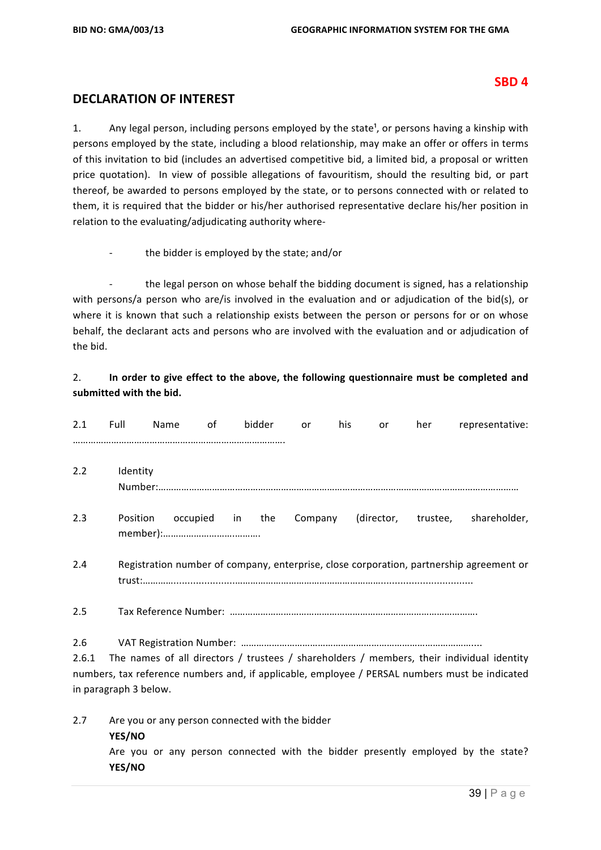**YES/NO**

#### **SBD 4**

#### **DECLARATION OF INTEREST**

1. Any legal person, including persons employed by the state<sup>1</sup>, or persons having a kinship with persons employed by the state, including a blood relationship, may make an offer or offers in terms of this invitation to bid (includes an advertised competitive bid, a limited bid, a proposal or written price quotation). In view of possible allegations of favouritism, should the resulting bid, or part thereof, be awarded to persons employed by the state, or to persons connected with or related to them, it is required that the bidder or his/her authorised representative declare his/her position in relation to the evaluating/adjudicating authority where-

the bidder is employed by the state; and/or

the legal person on whose behalf the bidding document is signed, has a relationship with persons/a person who are/is involved in the evaluation and or adjudication of the bid(s), or where it is known that such a relationship exists between the person or persons for or on whose behalf, the declarant acts and persons who are involved with the evaluation and or adjudication of the bid.

#### 2. **In order to give effect to the above, the following questionnaire must be completed and** submitted with the bid.

| 2.1          | Full                  | Name                                            | 0f | bidder | or      | his | or         | her      | representative:                                                                                                                                                                             |
|--------------|-----------------------|-------------------------------------------------|----|--------|---------|-----|------------|----------|---------------------------------------------------------------------------------------------------------------------------------------------------------------------------------------------|
| 2.2          | Identity              |                                                 |    |        |         |     |            |          |                                                                                                                                                                                             |
| 2.3          | Position              | occupied                                        | in | the    | Company |     | (director, | trustee, | shareholder,                                                                                                                                                                                |
| 2.4          |                       |                                                 |    |        |         |     |            |          | Registration number of company, enterprise, close corporation, partnership agreement or                                                                                                     |
| 2.5          |                       |                                                 |    |        |         |     |            |          |                                                                                                                                                                                             |
| 2.6<br>2.6.1 | in paragraph 3 below. |                                                 |    |        |         |     |            |          | The names of all directors / trustees / shareholders / members, their individual identity<br>numbers, tax reference numbers and, if applicable, employee / PERSAL numbers must be indicated |
| 2.7          | YES/NO                | Are you or any person connected with the bidder |    |        |         |     |            |          | Are you or any person connected with the bidder presently employed by the state?                                                                                                            |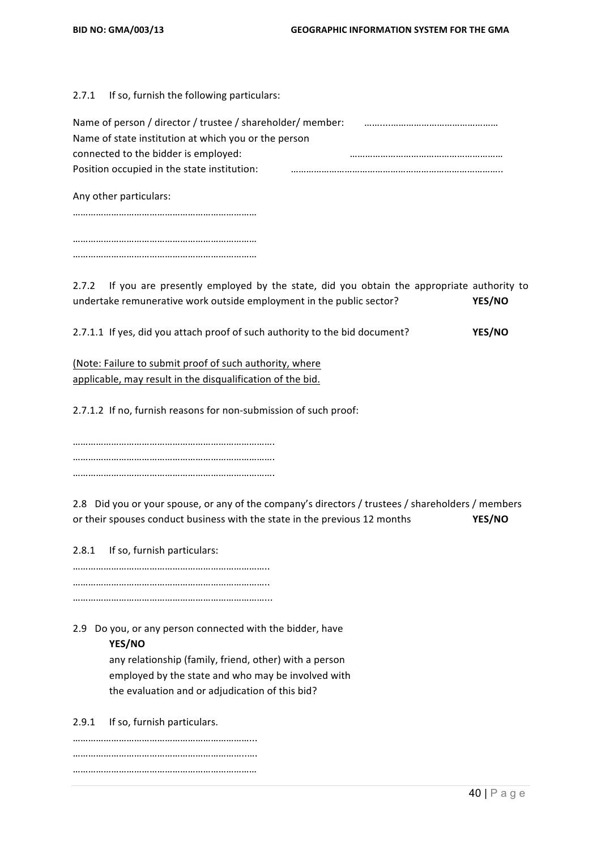$2.7.1$  If so, furnish the following particulars:

| Name of person / director / trustee / shareholder/ member: |  |
|------------------------------------------------------------|--|
| Name of state institution at which you or the person       |  |
| connected to the bidder is employed:                       |  |
| Position occupied in the state institution:                |  |
|                                                            |  |

Any other particulars:

……………………………………………………………… ……………………………………………………………… ………………………………………………………………

2.7.2 If you are presently employed by the state, did you obtain the appropriate authority to undertake remunerative work outside employment in the public sector? **YES/NO** 

2.7.1.1 If yes, did you attach proof of such authority to the bid document? **YES/NO** 

(Note: Failure to submit proof of such authority, where applicable, may result in the disqualification of the bid.

2.7.1.2 If no, furnish reasons for non-submission of such proof:

……………………………………………………………………. ……………………………………………………………………. …………………………………………………………………….

2.8 Did you or your spouse, or any of the company's directors / trustees / shareholders / members or their spouses conduct business with the state in the previous 12 months **YES/NO** 

2.8.1 If so, furnish particulars:

………………………………………………………………….. ………………………………………………………………….. …………………………………………………………………...

2.9 Do you, or any person connected with the bidder, have

#### **YES/NO**

any relationship (family, friend, other) with a person employed by the state and who may be involved with the evaluation and or adjudication of this bid?

2.9.1 If so, furnish particulars.

……………………………………………………………... …………………………………………………………..…. ………………………………………………………………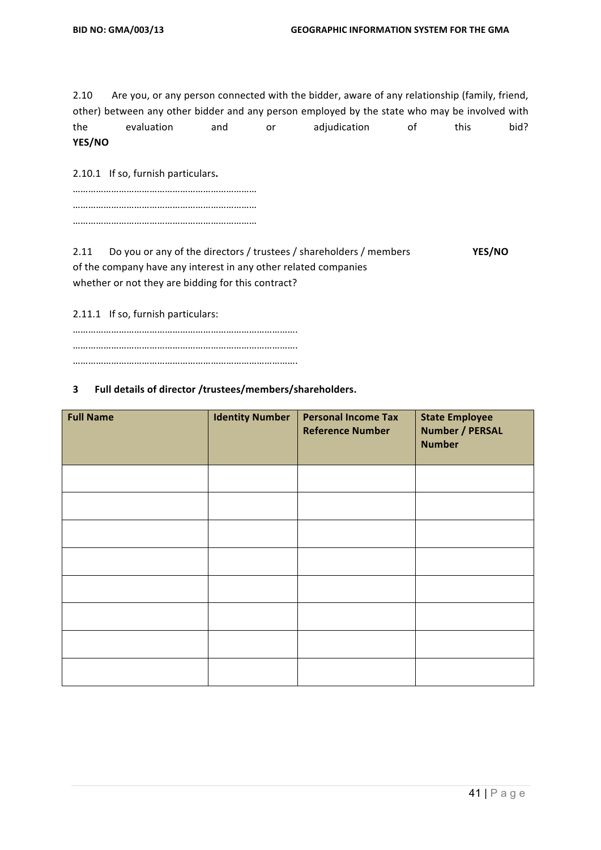2.10 Are you, or any person connected with the bidder, aware of any relationship (family, friend, other) between any other bidder and any person employed by the state who may be involved with the evaluation and or adjudication of this bid? **YES/NO**

2.10.1 If so, furnish particulars.

2.11 Do you or any of the directors / trustees / shareholders / members **YES/NO** of the company have any interest in any other related companies whether or not they are bidding for this contract?

2.11.1 If so, furnish particulars:

#### **3 Full details of director /trustees/members/shareholders.**

| <b>Full Name</b> | <b>Identity Number</b> | <b>Personal Income Tax</b><br><b>Reference Number</b> | <b>State Employee</b><br><b>Number / PERSAL</b><br><b>Number</b> |
|------------------|------------------------|-------------------------------------------------------|------------------------------------------------------------------|
|                  |                        |                                                       |                                                                  |
|                  |                        |                                                       |                                                                  |
|                  |                        |                                                       |                                                                  |
|                  |                        |                                                       |                                                                  |
|                  |                        |                                                       |                                                                  |
|                  |                        |                                                       |                                                                  |
|                  |                        |                                                       |                                                                  |
|                  |                        |                                                       |                                                                  |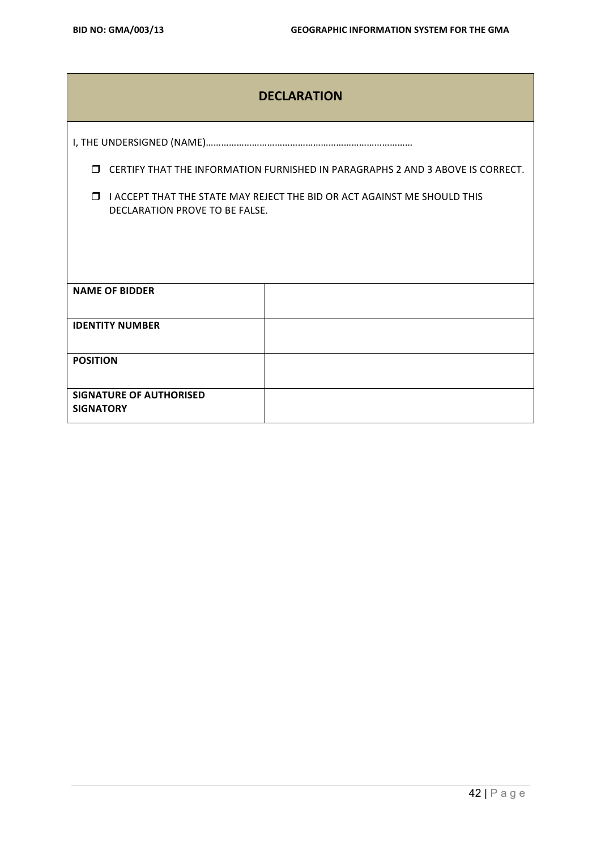|                                                                                                                   | <b>DECLARATION</b>                                                             |  |  |  |
|-------------------------------------------------------------------------------------------------------------------|--------------------------------------------------------------------------------|--|--|--|
|                                                                                                                   |                                                                                |  |  |  |
| $\Box$                                                                                                            | CERTIFY THAT THE INFORMATION FURNISHED IN PARAGRAPHS 2 AND 3 ABOVE IS CORRECT. |  |  |  |
| $\Box$ I ACCEPT THAT THE STATE MAY REJECT THE BID OR ACT AGAINST ME SHOULD THIS<br>DECLARATION PROVE TO BE FALSE. |                                                                                |  |  |  |
|                                                                                                                   |                                                                                |  |  |  |
|                                                                                                                   |                                                                                |  |  |  |
| <b>NAME OF BIDDER</b>                                                                                             |                                                                                |  |  |  |
| <b>IDENTITY NUMBER</b>                                                                                            |                                                                                |  |  |  |
| <b>POSITION</b>                                                                                                   |                                                                                |  |  |  |
| <b>SIGNATURE OF AUTHORISED</b><br><b>SIGNATORY</b>                                                                |                                                                                |  |  |  |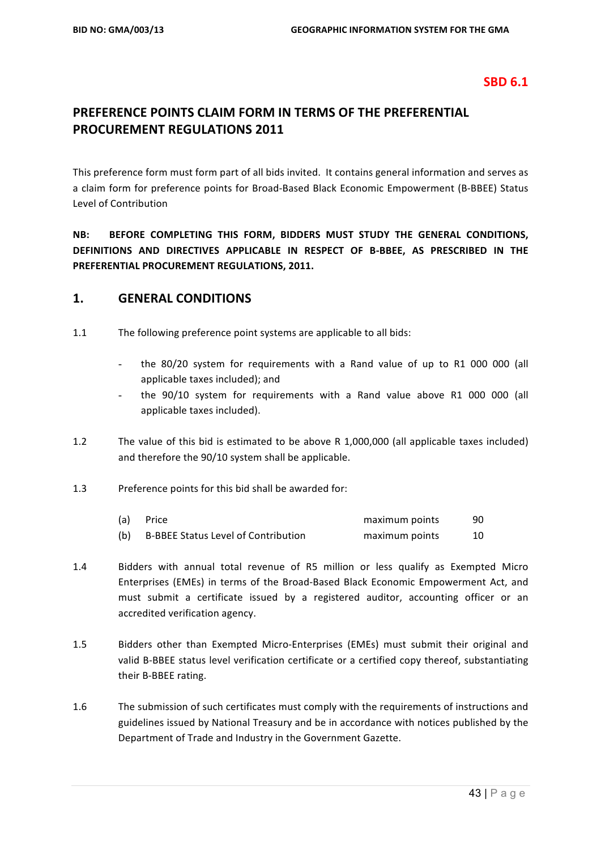#### **SBD 6.1**

# **PREFERENCE POINTS CLAIM FORM IN TERMS OF THE PREFERENTIAL PROCUREMENT REGULATIONS 2011**

This preference form must form part of all bids invited. It contains general information and serves as a claim form for preference points for Broad-Based Black Economic Empowerment (B-BBEE) Status Level of Contribution 

**NB: BEFORE COMPLETING THIS FORM, BIDDERS MUST STUDY THE GENERAL CONDITIONS,** DEFINITIONS AND DIRECTIVES APPLICABLE IN RESPECT OF B-BBEE, AS PRESCRIBED IN THE **PREFERENTIAL PROCUREMENT REGULATIONS, 2011.** 

#### **1. GENERAL CONDITIONS**

- 1.1 The following preference point systems are applicable to all bids:
	- the  $80/20$  system for requirements with a Rand value of up to R1 000 000 (all applicable taxes included); and
	- the 90/10 system for requirements with a Rand value above R1 000 000 (all applicable taxes included).
- 1.2 The value of this bid is estimated to be above R 1,000,000 (all applicable taxes included) and therefore the 90/10 system shall be applicable.
- 1.3 Preference points for this bid shall be awarded for:

| (a) | Price                                      | maximum points | 90 |
|-----|--------------------------------------------|----------------|----|
| (b) | <b>B-BBEE Status Level of Contribution</b> | maximum points |    |

- 1.4 Bidders with annual total revenue of R5 million or less qualify as Exempted Micro Enterprises (EMEs) in terms of the Broad-Based Black Economic Empowerment Act, and must submit a certificate issued by a registered auditor, accounting officer or an accredited verification agency.
- 1.5 Bidders other than Exempted Micro-Enterprises (EMEs) must submit their original and valid B-BBEE status level verification certificate or a certified copy thereof, substantiating their B-BBEE rating.
- 1.6 The submission of such certificates must comply with the requirements of instructions and guidelines issued by National Treasury and be in accordance with notices published by the Department of Trade and Industry in the Government Gazette.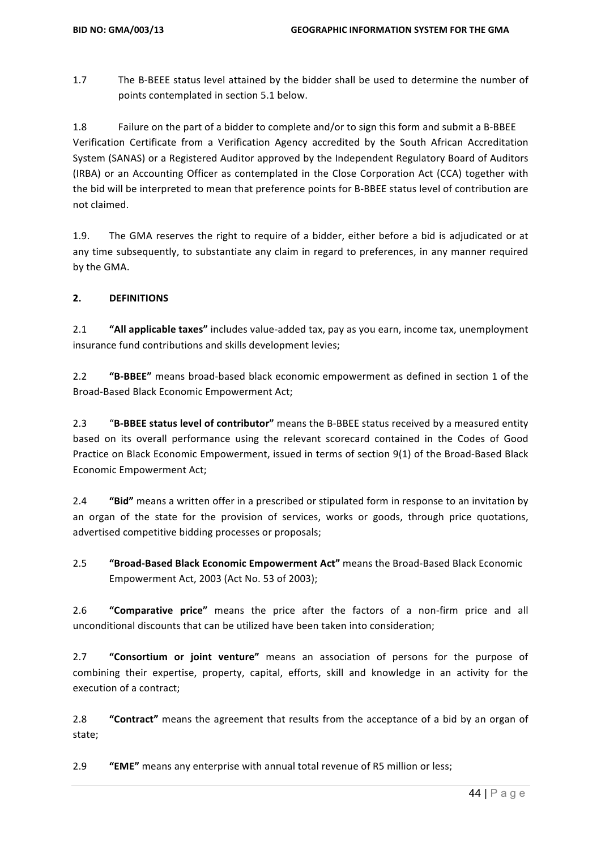1.7 The B-BEEE status level attained by the bidder shall be used to determine the number of points contemplated in section 5.1 below.

1.8 Failure on the part of a bidder to complete and/or to sign this form and submit a B-BBEE Verification Certificate from a Verification Agency accredited by the South African Accreditation System (SANAS) or a Registered Auditor approved by the Independent Regulatory Board of Auditors (IRBA) or an Accounting Officer as contemplated in the Close Corporation Act (CCA) together with the bid will be interpreted to mean that preference points for B-BBEE status level of contribution are not claimed.

1.9. The GMA reserves the right to require of a bidder, either before a bid is adjudicated or at any time subsequently, to substantiate any claim in regard to preferences, in any manner required by the GMA.

#### **2. DEFINITIONS**

2.1 "All applicable taxes" includes value-added tax, pay as you earn, income tax, unemployment insurance fund contributions and skills development levies;

2.2 **"B-BBEE"** means broad-based black economic empowerment as defined in section 1 of the Broad-Based Black Economic Empowerment Act;

2.3 "B-BBEE status level of contributor" means the B-BBEE status received by a measured entity based on its overall performance using the relevant scorecard contained in the Codes of Good Practice on Black Economic Empowerment, issued in terms of section 9(1) of the Broad-Based Black Economic Empowerment Act;

2.4 **"Bid"** means a written offer in a prescribed or stipulated form in response to an invitation by an organ of the state for the provision of services, works or goods, through price quotations, advertised competitive bidding processes or proposals;

**2.5 "Broad-Based Black Economic Empowerment Act"** means the Broad-Based Black Economic Empowerment Act, 2003 (Act No. 53 of 2003);

2.6 **"Comparative price"** means the price after the factors of a non-firm price and all unconditional discounts that can be utilized have been taken into consideration;

2.7 **"Consortium or joint venture"** means an association of persons for the purpose of combining their expertise, property, capital, efforts, skill and knowledge in an activity for the execution of a contract;

2.8 **"Contract"** means the agreement that results from the acceptance of a bid by an organ of state;

2.9 **"EME"** means any enterprise with annual total revenue of R5 million or less;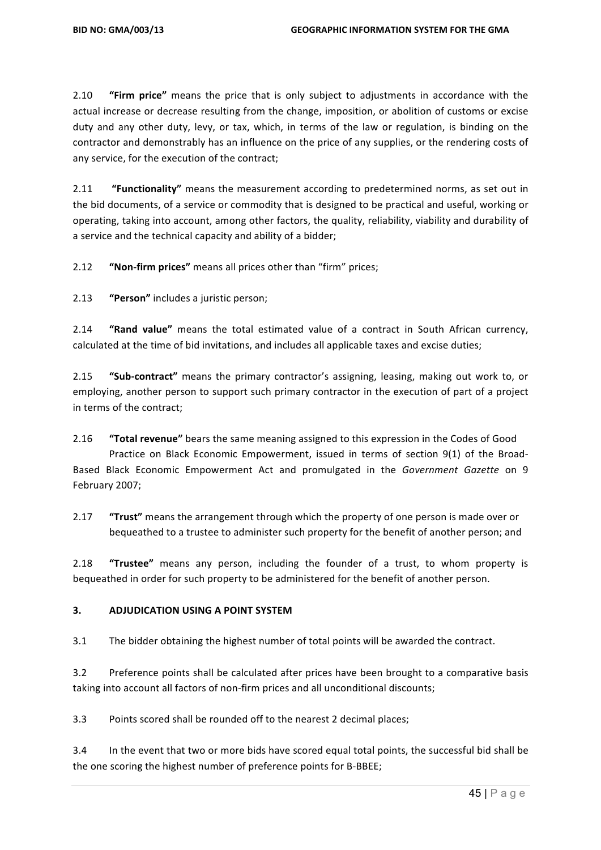2.10 **"Firm price"** means the price that is only subject to adjustments in accordance with the actual increase or decrease resulting from the change, imposition, or abolition of customs or excise duty and any other duty, levy, or tax, which, in terms of the law or regulation, is binding on the contractor and demonstrably has an influence on the price of any supplies, or the rendering costs of any service, for the execution of the contract;

2.11 **"Functionality"** means the measurement according to predetermined norms, as set out in the bid documents, of a service or commodity that is designed to be practical and useful, working or operating, taking into account, among other factors, the quality, reliability, viability and durability of a service and the technical capacity and ability of a bidder;

2.12 **"Non-firm prices"** means all prices other than "firm" prices;

2.13 **"Person"** includes a juristic person;

2.14 **"Rand value"** means the total estimated value of a contract in South African currency, calculated at the time of bid invitations, and includes all applicable taxes and excise duties;

2.15 **"Sub-contract"** means the primary contractor's assigning, leasing, making out work to, or employing, another person to support such primary contractor in the execution of part of a project in terms of the contract;

2.16 **"Total revenue"** bears the same meaning assigned to this expression in the Codes of Good Practice on Black Economic Empowerment, issued in terms of section 9(1) of the Broad-Based Black Economic Empowerment Act and promulgated in the *Government Gazette* on 9 February 2007;

2.17 **"Trust"** means the arrangement through which the property of one person is made over or bequeathed to a trustee to administer such property for the benefit of another person; and

2.18 **"Trustee"** means any person, including the founder of a trust, to whom property is bequeathed in order for such property to be administered for the benefit of another person.

#### **3. ADJUDICATION USING A POINT SYSTEM**

3.1 The bidder obtaining the highest number of total points will be awarded the contract.

3.2 Preference points shall be calculated after prices have been brought to a comparative basis taking into account all factors of non-firm prices and all unconditional discounts;

3.3 Points scored shall be rounded off to the nearest 2 decimal places;

3.4 In the event that two or more bids have scored equal total points, the successful bid shall be the one scoring the highest number of preference points for B-BBEE;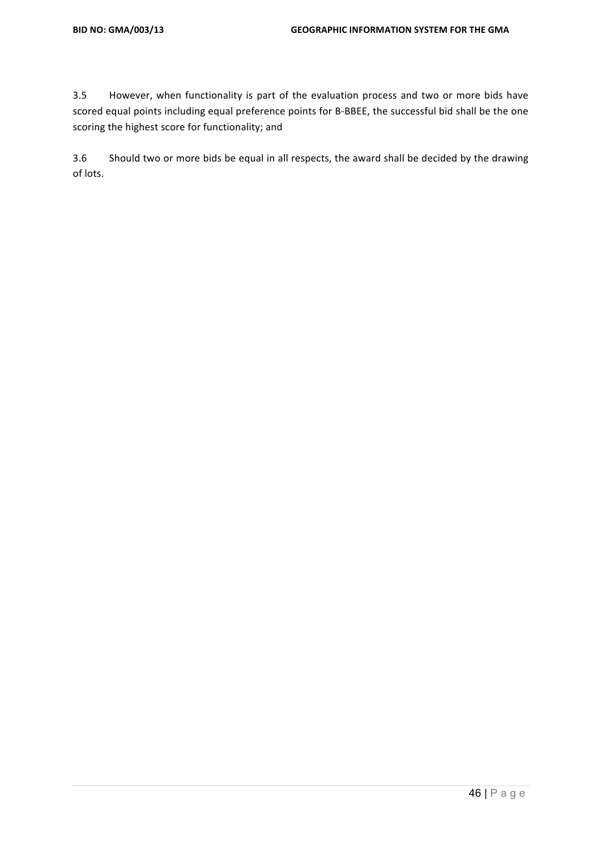3.5 However, when functionality is part of the evaluation process and two or more bids have scored equal points including equal preference points for B-BBEE, the successful bid shall be the one scoring the highest score for functionality; and

3.6 Should two or more bids be equal in all respects, the award shall be decided by the drawing of lots.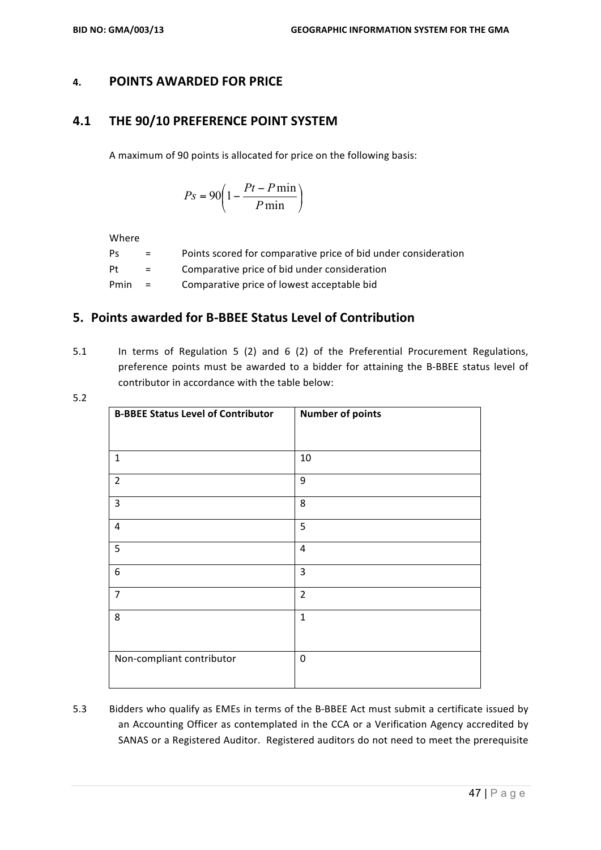#### **4. POINTS AWARDED FOR PRICE**

#### **4.1 THE 90/10 PREFERENCE POINT SYSTEM**

A maximum of 90 points is allocated for price on the following basis:

$$
Ps = 90 \left( 1 - \frac{Pt - P \min}{P \min} \right)
$$

Where

| Ps   | $=$      | Points scored for comparative price of bid under consideration |
|------|----------|----------------------------------------------------------------|
| Pt   | $\equiv$ | Comparative price of bid under consideration                   |
| Pmin | $=$      | Comparative price of lowest acceptable bid                     |

## **5.** Points awarded for B-BBEE Status Level of Contribution

5.1 In terms of Regulation 5 (2) and 6 (2) of the Preferential Procurement Regulations, preference points must be awarded to a bidder for attaining the B-BBEE status level of contributor in accordance with the table below:

|                     | ٠<br>an a |
|---------------------|-----------|
| -<br>۰,<br>۰.<br>M. |           |

| <b>B-BBEE Status Level of Contributor</b> | <b>Number of points</b> |
|-------------------------------------------|-------------------------|
|                                           |                         |
| $\mathbf{1}$                              | 10                      |
| $\overline{2}$                            | 9                       |
| 3                                         | 8                       |
| 4                                         | 5                       |
| 5                                         | $\overline{4}$          |
| $\boldsymbol{6}$                          | $\overline{3}$          |
| $\overline{7}$                            | $\overline{2}$          |
| 8                                         | $\mathbf{1}$            |
|                                           |                         |
| Non-compliant contributor                 | $\mathbf 0$             |

5.3 Bidders who qualify as EMEs in terms of the B-BBEE Act must submit a certificate issued by an Accounting Officer as contemplated in the CCA or a Verification Agency accredited by SANAS or a Registered Auditor. Registered auditors do not need to meet the prerequisite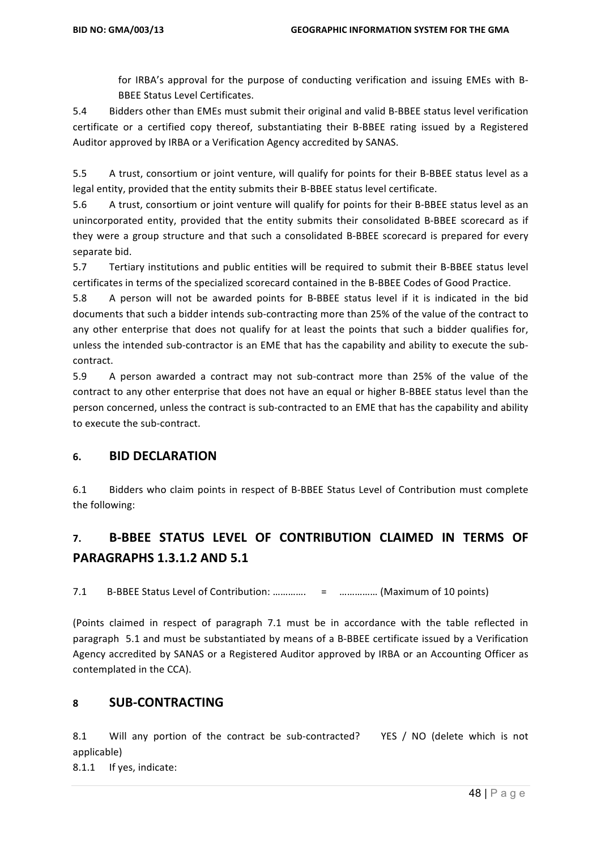for IRBA's approval for the purpose of conducting verification and issuing EMEs with B-**BBEE Status Level Certificates.** 

5.4 Bidders other than EMEs must submit their original and valid B-BBEE status level verification certificate or a certified copy thereof, substantiating their B-BBEE rating issued by a Registered Auditor approved by IRBA or a Verification Agency accredited by SANAS.

5.5 A trust, consortium or joint venture, will qualify for points for their B-BBEE status level as a legal entity, provided that the entity submits their B-BBEE status level certificate.

5.6 A trust, consortium or joint venture will qualify for points for their B-BBEE status level as an unincorporated entity, provided that the entity submits their consolidated B-BBEE scorecard as if they were a group structure and that such a consolidated B-BBEE scorecard is prepared for every separate bid.

5.7 Tertiary institutions and public entities will be required to submit their B-BBEE status level certificates in terms of the specialized scorecard contained in the B-BBEE Codes of Good Practice.

5.8 A person will not be awarded points for B-BBEE status level if it is indicated in the bid documents that such a bidder intends sub-contracting more than 25% of the value of the contract to any other enterprise that does not qualify for at least the points that such a bidder qualifies for, unless the intended sub-contractor is an EME that has the capability and ability to execute the subcontract.

5.9 A person awarded a contract may not sub-contract more than 25% of the value of the contract to any other enterprise that does not have an equal or higher B-BBEE status level than the person concerned, unless the contract is sub-contracted to an EME that has the capability and ability to execute the sub-contract.

#### **6. BID DECLARATION**

6.1 Bidders who claim points in respect of B-BBEE Status Level of Contribution must complete the following:

# **7. B-BBEE STATUS LEVEL OF CONTRIBUTION CLAIMED IN TERMS OF PARAGRAPHS 1.3.1.2 AND 5.1**

7.1 B-BBEE Status Level of Contribution: ………….. = ................ (Maximum of 10 points)

(Points claimed in respect of paragraph 7.1 must be in accordance with the table reflected in paragraph 5.1 and must be substantiated by means of a B-BBEE certificate issued by a Verification Agency accredited by SANAS or a Registered Auditor approved by IRBA or an Accounting Officer as contemplated in the CCA).

#### **8 SUB-CONTRACTING**

8.1 Will any portion of the contract be sub-contracted? YES / NO (delete which is not applicable) 

8.1.1 If yes, indicate: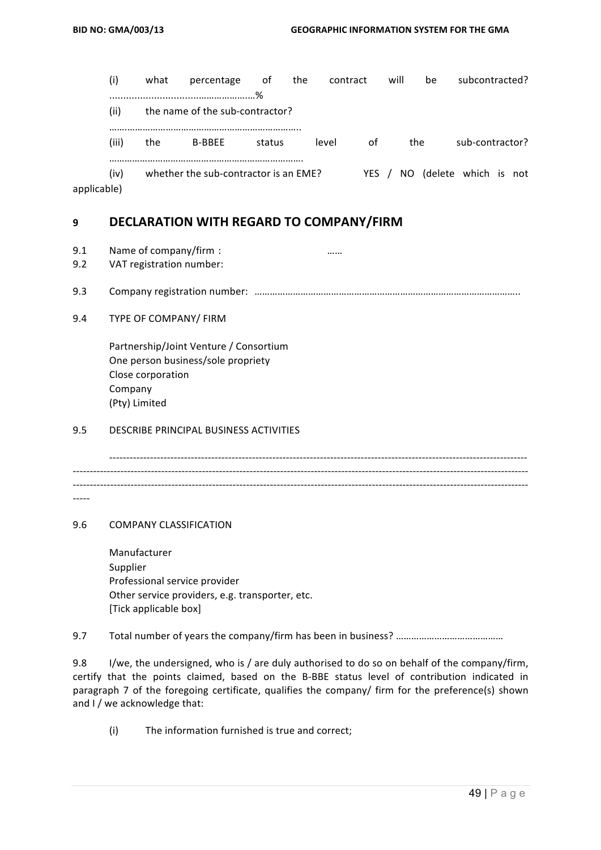| (i)       | what | percentage                            | .of    | the | contract |       | will | be  |                         | subcontracted? |
|-----------|------|---------------------------------------|--------|-----|----------|-------|------|-----|-------------------------|----------------|
| (ii)      |      | the name of the sub-contractor?       | %      |     |          |       |      |     |                         |                |
| (iii)     | the  | <b>B-BBEE</b>                         | status |     | level    | οf    |      | the | sub-contractor?         |                |
| (iv)<br>. |      | whether the sub-contractor is an EME? |        |     |          | YES / |      |     | NO (delete which is not |                |

applicable)

## **9 DECLARATION WITH REGARD TO COMPANY/FIRM**

- 9.1 Name of company/firm : The company of the company of  $\ldots$  is the control of the control of the control of the control of the control of the control of the control of the control of the control of the control of the co
- 9.2 VAT registration number:
- 9.3 Company registration number: …………………………………………………………………………………………..
- 9.4 TYPE OF COMPANY/ FIRM

Partnership/Joint Venture / Consortium One person business/sole propriety Close corporation Company (Pty) Limited

#### 9.5 DESCRIBE PRINCIPAL BUSINESS ACTIVITIES

--------------------------------------------------------------------------------------------------------------------------- -------------------------------------------------------------------------------------------------------------------------------------- -------------------------------------------------------------------------------------------------------------------------------------- -----

9.6 COMPANY CLASSIFICATION

 Manufacturer Supplier Professional service provider Other service providers, e.g. transporter, etc. [Tick applicable box]

9.7 Total number of years the company/firm has been in business? ……………………………………

9.8 I/we, the undersigned, who is / are duly authorised to do so on behalf of the company/firm, certify that the points claimed, based on the B-BBE status level of contribution indicated in paragraph 7 of the foregoing certificate, qualifies the company/ firm for the preference(s) shown and I / we acknowledge that:

 $(i)$  The information furnished is true and correct;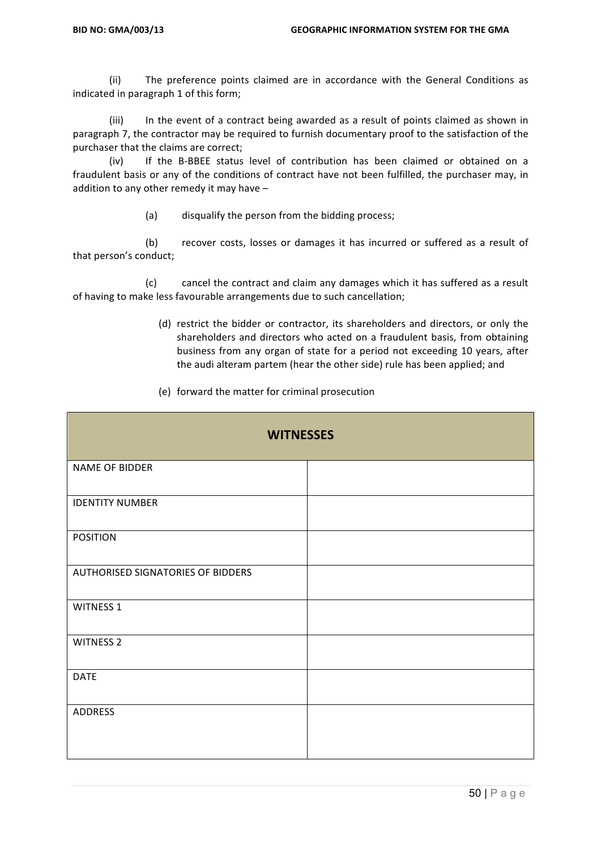(ii) The preference points claimed are in accordance with the General Conditions as indicated in paragraph 1 of this form;

(iii) In the event of a contract being awarded as a result of points claimed as shown in paragraph 7, the contractor may be required to furnish documentary proof to the satisfaction of the purchaser that the claims are correct;

(iv) If the B-BBEE status level of contribution has been claimed or obtained on a fraudulent basis or any of the conditions of contract have not been fulfilled, the purchaser may, in addition to any other remedy it may have  $-$ 

(a) disqualify the person from the bidding process;

(b) recover costs, losses or damages it has incurred or suffered as a result of that person's conduct;

(c) cancel the contract and claim any damages which it has suffered as a result of having to make less favourable arrangements due to such cancellation;

> (d) restrict the bidder or contractor, its shareholders and directors, or only the shareholders and directors who acted on a fraudulent basis, from obtaining business from any organ of state for a period not exceeding 10 years, after the audi alteram partem (hear the other side) rule has been applied; and

| (e) forward the matter for criminal prosecution |  |  |  |  |  |
|-------------------------------------------------|--|--|--|--|--|
|-------------------------------------------------|--|--|--|--|--|

| <b>WITNESSES</b>                  |  |  |  |  |
|-----------------------------------|--|--|--|--|
| NAME OF BIDDER                    |  |  |  |  |
| <b>IDENTITY NUMBER</b>            |  |  |  |  |
| <b>POSITION</b>                   |  |  |  |  |
| AUTHORISED SIGNATORIES OF BIDDERS |  |  |  |  |
| <b>WITNESS 1</b>                  |  |  |  |  |
| <b>WITNESS 2</b>                  |  |  |  |  |
| <b>DATE</b>                       |  |  |  |  |
| ADDRESS                           |  |  |  |  |
|                                   |  |  |  |  |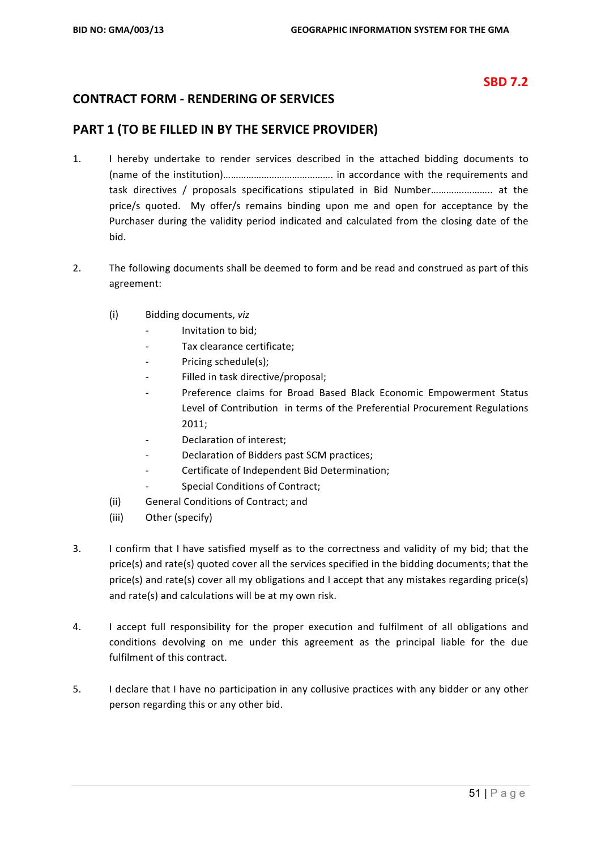# **SBD 7.2**

# **CONTRACT FORM - RENDERING OF SERVICES**

#### **PART 1 (TO BE FILLED IN BY THE SERVICE PROVIDER)**

- 1. I hereby undertake to render services described in the attached bidding documents to (name of the institution)……………………………………. in accordance with the requirements and task directives / proposals specifications stipulated in Bid Number……………………….. at the price/s quoted. My offer/s remains binding upon me and open for acceptance by the Purchaser during the validity period indicated and calculated from the closing date of the bid.
- 2. The following documents shall be deemed to form and be read and construed as part of this agreement:
	- (i) Bidding documents, *viz*
		- *-* Invitation to bid;
		- Tax clearance certificate;
		- Pricing schedule(s):
		- Filled in task directive/proposal;
		- Preference claims for Broad Based Black Economic Empowerment Status Level of Contribution in terms of the Preferential Procurement Regulations 2011;
		- Declaration of interest;
		- Declaration of Bidders past SCM practices;
		- Certificate of Independent Bid Determination;
		- **Special Conditions of Contract:**
	- (ii) General Conditions of Contract; and
	- (iii) Other (specify)
- 3. I confirm that I have satisfied myself as to the correctness and validity of my bid; that the price(s) and rate(s) quoted cover all the services specified in the bidding documents; that the price(s) and rate(s) cover all my obligations and I accept that any mistakes regarding price(s) and rate(s) and calculations will be at my own risk.
- 4. I accept full responsibility for the proper execution and fulfilment of all obligations and conditions devolving on me under this agreement as the principal liable for the due fulfilment of this contract.
- 5. I declare that I have no participation in any collusive practices with any bidder or any other person regarding this or any other bid.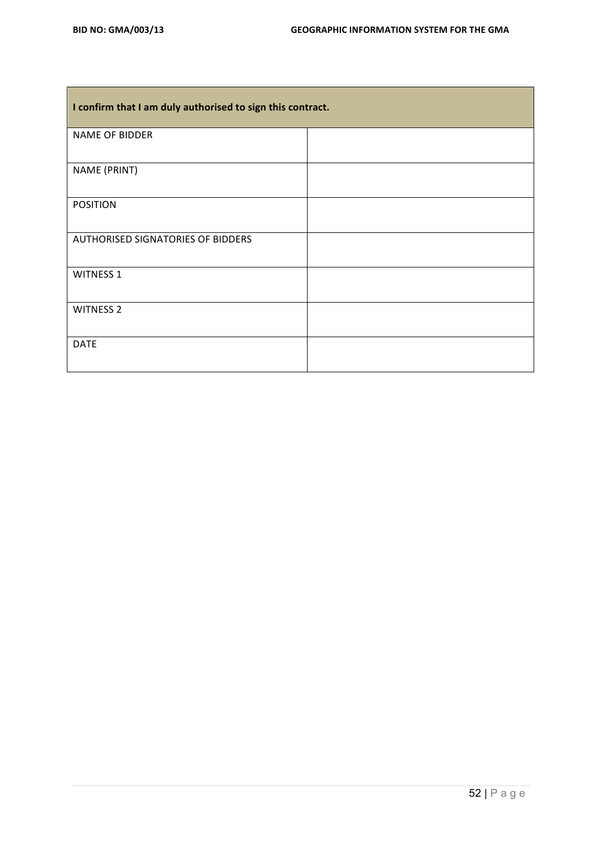| I confirm that I am duly authorised to sign this contract. |  |  |  |
|------------------------------------------------------------|--|--|--|
| NAME OF BIDDER                                             |  |  |  |
| NAME (PRINT)                                               |  |  |  |
| <b>POSITION</b>                                            |  |  |  |
| <b>AUTHORISED SIGNATORIES OF BIDDERS</b>                   |  |  |  |
| <b>WITNESS 1</b>                                           |  |  |  |
| <b>WITNESS 2</b>                                           |  |  |  |
| <b>DATE</b>                                                |  |  |  |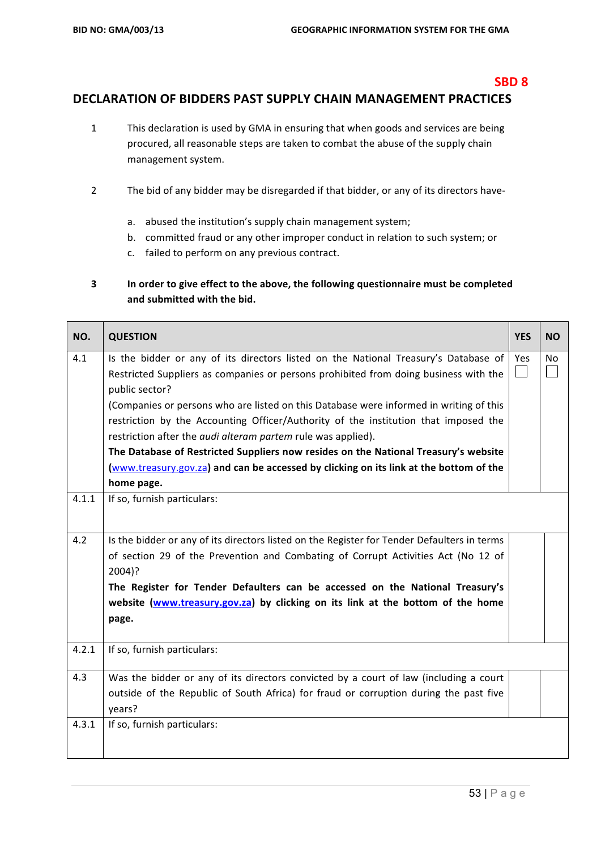#### **SBD 8**

#### DECLARATION OF BIDDERS PAST SUPPLY CHAIN MANAGEMENT PRACTICES

- 1 This declaration is used by GMA in ensuring that when goods and services are being procured, all reasonable steps are taken to combat the abuse of the supply chain management system.
- 2 The bid of any bidder may be disregarded if that bidder, or any of its directors have
	- a. abused the institution's supply chain management system;
	- b. committed fraud or any other improper conduct in relation to such system; or
	- c. failed to perform on any previous contract.

#### **3** In order to give effect to the above, the following questionnaire must be completed and submitted with the bid.

| NO.   | <b>QUESTION</b>                                                                                                                                                                                                                                                                                                                                                                                                                                                                                                                                                                                                                                      | <b>YES</b> | <b>NO</b>      |
|-------|------------------------------------------------------------------------------------------------------------------------------------------------------------------------------------------------------------------------------------------------------------------------------------------------------------------------------------------------------------------------------------------------------------------------------------------------------------------------------------------------------------------------------------------------------------------------------------------------------------------------------------------------------|------------|----------------|
| 4.1   | Is the bidder or any of its directors listed on the National Treasury's Database of<br>Restricted Suppliers as companies or persons prohibited from doing business with the<br>public sector?<br>(Companies or persons who are listed on this Database were informed in writing of this<br>restriction by the Accounting Officer/Authority of the institution that imposed the<br>restriction after the <i>audi alteram partem</i> rule was applied).<br>The Database of Restricted Suppliers now resides on the National Treasury's website<br>(www.treasury.gov.za) and can be accessed by clicking on its link at the bottom of the<br>home page. | Yes        | N <sub>o</sub> |
| 4.1.1 | If so, furnish particulars:                                                                                                                                                                                                                                                                                                                                                                                                                                                                                                                                                                                                                          |            |                |
| 4.2   | Is the bidder or any of its directors listed on the Register for Tender Defaulters in terms<br>of section 29 of the Prevention and Combating of Corrupt Activities Act (No 12 of<br>2004)?<br>The Register for Tender Defaulters can be accessed on the National Treasury's<br>website (www.treasury.gov.za) by clicking on its link at the bottom of the home<br>page.                                                                                                                                                                                                                                                                              |            |                |
| 4.2.1 | If so, furnish particulars:                                                                                                                                                                                                                                                                                                                                                                                                                                                                                                                                                                                                                          |            |                |
| 4.3   | Was the bidder or any of its directors convicted by a court of law (including a court<br>outside of the Republic of South Africa) for fraud or corruption during the past five<br>years?                                                                                                                                                                                                                                                                                                                                                                                                                                                             |            |                |
| 4.3.1 | If so, furnish particulars:                                                                                                                                                                                                                                                                                                                                                                                                                                                                                                                                                                                                                          |            |                |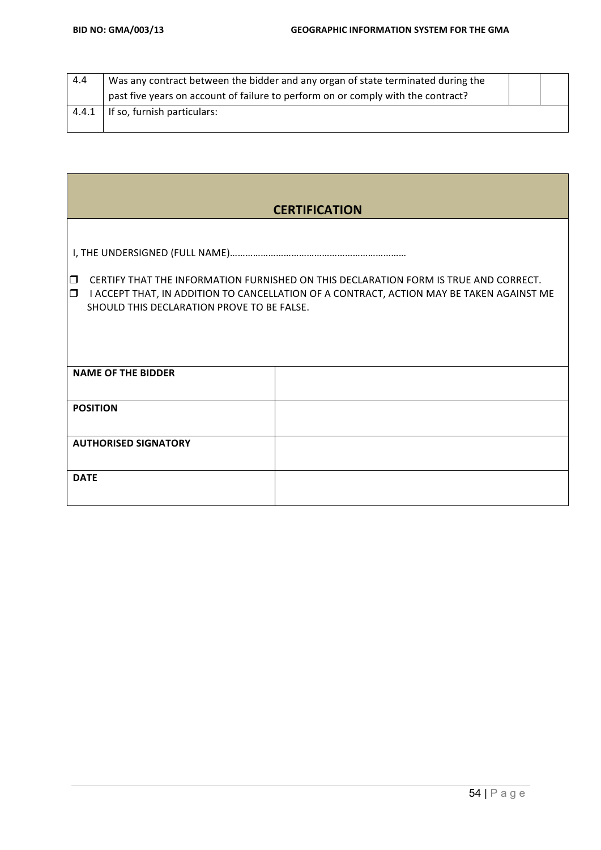| 4.4   | Was any contract between the bidder and any organ of state terminated during the |  |
|-------|----------------------------------------------------------------------------------|--|
|       | past five years on account of failure to perform on or comply with the contract? |  |
| 4.4.1 | If so, furnish particulars:                                                      |  |
|       |                                                                                  |  |

**在这里的一个人,我们也不能在这里的时候,我们也不能在这里的时候,我们也不能在这里的时候,我们**也不能在这里的时候,我们也不能在这里的时候,我们也不能在这里的时候,

|                                                                                                                                                                                                                                                    | <b>CERTIFICATION</b> |  |  |  |  |
|----------------------------------------------------------------------------------------------------------------------------------------------------------------------------------------------------------------------------------------------------|----------------------|--|--|--|--|
| CERTIFY THAT THE INFORMATION FURNISHED ON THIS DECLARATION FORM IS TRUE AND CORRECT.<br>$\Box$<br>$\Box$<br>I ACCEPT THAT, IN ADDITION TO CANCELLATION OF A CONTRACT, ACTION MAY BE TAKEN AGAINST ME<br>SHOULD THIS DECLARATION PROVE TO BE FALSE. |                      |  |  |  |  |
|                                                                                                                                                                                                                                                    |                      |  |  |  |  |
| <b>NAME OF THE BIDDER</b>                                                                                                                                                                                                                          |                      |  |  |  |  |
| <b>POSITION</b>                                                                                                                                                                                                                                    |                      |  |  |  |  |
| <b>AUTHORISED SIGNATORY</b>                                                                                                                                                                                                                        |                      |  |  |  |  |
| <b>DATE</b>                                                                                                                                                                                                                                        |                      |  |  |  |  |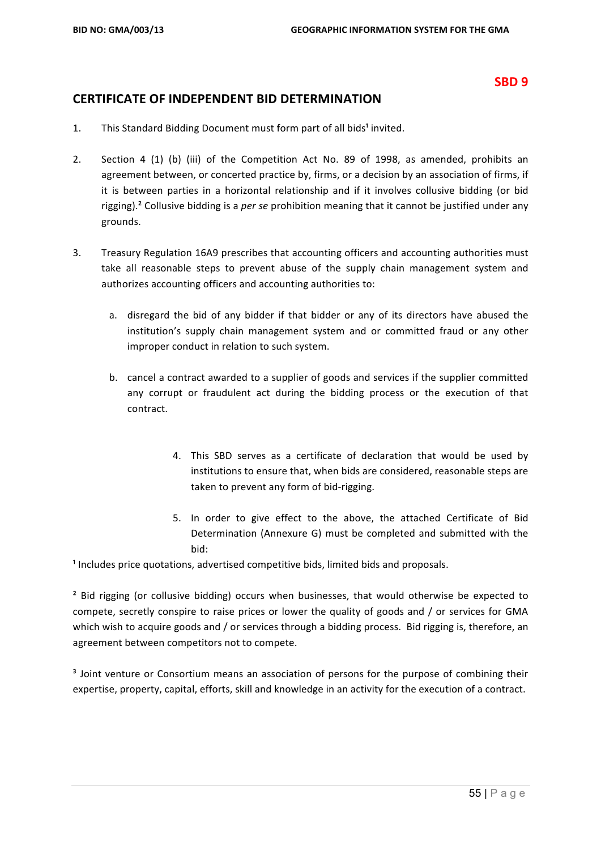#### **SBD 9**

#### **CERTIFICATE OF INDEPENDENT BID DETERMINATION**

- 1. This Standard Bidding Document must form part of all bids<sup>1</sup> invited.
- 2. Section 4 (1) (b) (iii) of the Competition Act No. 89 of 1998, as amended, prohibits an agreement between, or concerted practice by, firms, or a decision by an association of firms, if it is between parties in a horizontal relationship and if it involves collusive bidding (or bid rigging).<sup>2</sup> Collusive bidding is a *per se* prohibition meaning that it cannot be justified under any grounds.
- 3. Treasury Regulation 16A9 prescribes that accounting officers and accounting authorities must take all reasonable steps to prevent abuse of the supply chain management system and authorizes accounting officers and accounting authorities to:
	- a. disregard the bid of any bidder if that bidder or any of its directors have abused the institution's supply chain management system and or committed fraud or any other improper conduct in relation to such system.
	- b. cancel a contract awarded to a supplier of goods and services if the supplier committed any corrupt or fraudulent act during the bidding process or the execution of that contract.
		- 4. This SBD serves as a certificate of declaration that would be used by institutions to ensure that, when bids are considered, reasonable steps are taken to prevent any form of bid-rigging.
		- 5. In order to give effect to the above, the attached Certificate of Bid Determination (Annexure G) must be completed and submitted with the bid:

 $<sup>1</sup>$  Includes price quotations, advertised competitive bids, limited bids and proposals.</sup>

<sup>2</sup> Bid rigging (or collusive bidding) occurs when businesses, that would otherwise be expected to compete, secretly conspire to raise prices or lower the quality of goods and / or services for GMA which wish to acquire goods and / or services through a bidding process. Bid rigging is, therefore, an agreement between competitors not to compete.

<sup>3</sup> Joint venture or Consortium means an association of persons for the purpose of combining their expertise, property, capital, efforts, skill and knowledge in an activity for the execution of a contract.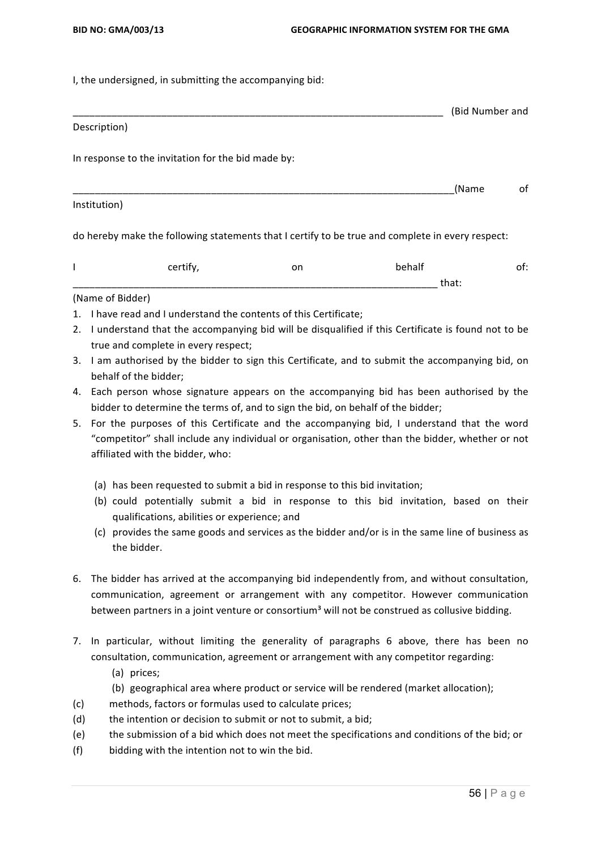I, the undersigned, in submitting the accompanying bid:

#### \_\_\_\_\_\_\_\_\_\_\_\_\_\_\_\_\_\_\_\_\_\_\_\_\_\_\_\_\_\_\_\_\_\_\_\_\_\_\_\_\_\_\_\_\_\_\_\_\_\_\_\_\_\_\_\_\_\_\_\_\_\_\_\_\_\_\_ (Bid Number and Description)

In response to the invitation for the bid made by:

\_\_\_\_\_\_\_\_\_\_\_\_\_\_\_\_\_\_\_\_\_\_\_\_\_\_\_\_\_\_\_\_\_\_\_\_\_\_\_\_\_\_\_\_\_\_\_\_\_\_\_\_\_\_\_\_\_\_\_\_\_\_\_\_\_\_\_\_\_(Name of Institution)

do hereby make the following statements that I certify to be true and complete in every respect:

| _ _ _ | $ -$<br>__ | ___                  |  |
|-------|------------|----------------------|--|
|       |            | <br>________________ |  |

#### (Name of Bidder)

- 1. I have read and I understand the contents of this Certificate;
- 2. I understand that the accompanying bid will be disqualified if this Certificate is found not to be true and complete in every respect;
- 3. I am authorised by the bidder to sign this Certificate, and to submit the accompanying bid, on behalf of the bidder;
- 4. Each person whose signature appears on the accompanying bid has been authorised by the bidder to determine the terms of, and to sign the bid, on behalf of the bidder;
- 5. For the purposes of this Certificate and the accompanying bid, I understand that the word "competitor" shall include any individual or organisation, other than the bidder, whether or not affiliated with the bidder, who:
	- (a) has been requested to submit a bid in response to this bid invitation;
	- (b) could potentially submit a bid in response to this bid invitation, based on their qualifications, abilities or experience; and
	- (c) provides the same goods and services as the bidder and/or is in the same line of business as the bidder.
- 6. The bidder has arrived at the accompanying bid independently from, and without consultation, communication, agreement or arrangement with any competitor. However communication between partners in a joint venture or consortium<sup>3</sup> will not be construed as collusive bidding.
- 7. In particular, without limiting the generality of paragraphs 6 above, there has been no consultation, communication, agreement or arrangement with any competitor regarding:
	- (a) prices;
	- (b) geographical area where product or service will be rendered (market allocation);
- (c) methods, factors or formulas used to calculate prices;
- $(d)$  the intention or decision to submit or not to submit, a bid;
- (e) the submission of a bid which does not meet the specifications and conditions of the bid; or
- $(f)$  bidding with the intention not to win the bid.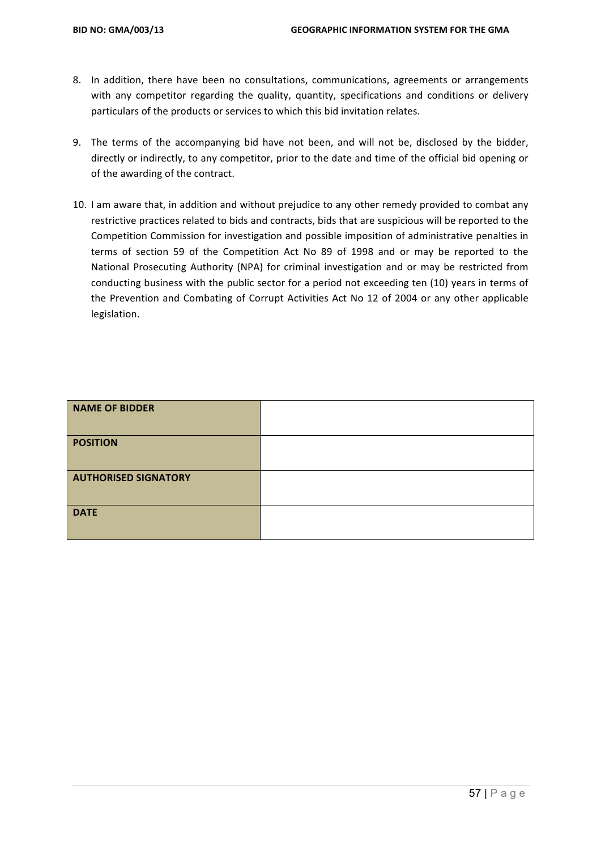- 8. In addition, there have been no consultations, communications, agreements or arrangements with any competitor regarding the quality, quantity, specifications and conditions or delivery particulars of the products or services to which this bid invitation relates.
- 9. The terms of the accompanying bid have not been, and will not be, disclosed by the bidder, directly or indirectly, to any competitor, prior to the date and time of the official bid opening or of the awarding of the contract.
- 10. I am aware that, in addition and without prejudice to any other remedy provided to combat any restrictive practices related to bids and contracts, bids that are suspicious will be reported to the Competition Commission for investigation and possible imposition of administrative penalties in terms of section 59 of the Competition Act No 89 of 1998 and or may be reported to the National Prosecuting Authority (NPA) for criminal investigation and or may be restricted from conducting business with the public sector for a period not exceeding ten (10) years in terms of the Prevention and Combating of Corrupt Activities Act No 12 of 2004 or any other applicable legislation.

| <b>NAME OF BIDDER</b>       |  |
|-----------------------------|--|
| <b>POSITION</b>             |  |
| <b>AUTHORISED SIGNATORY</b> |  |
| <b>DATE</b>                 |  |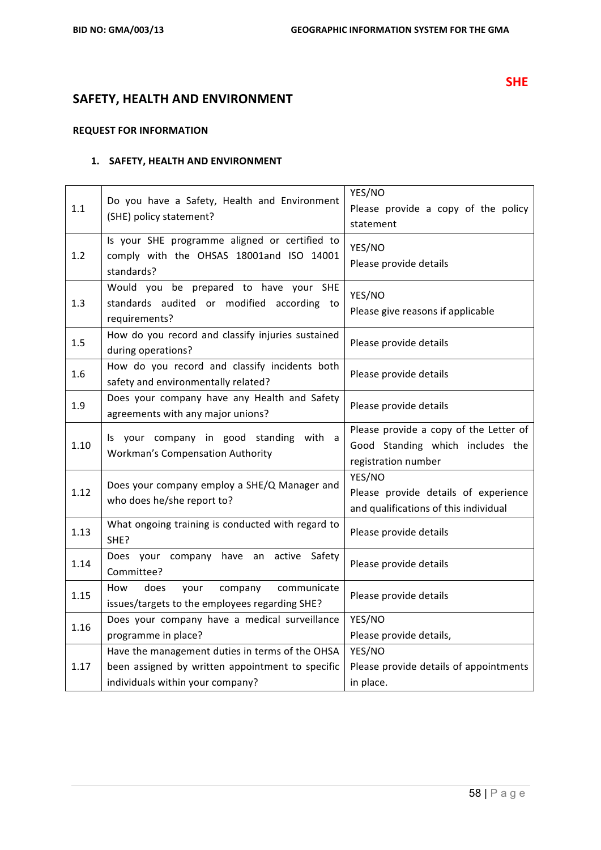# **SAFETY, HEALTH AND ENVIRONMENT**

#### **REQUEST FOR INFORMATION**

#### **1. SAFETY, HEALTH AND ENVIRONMENT**

| 1.1  | Do you have a Safety, Health and Environment<br>(SHE) policy statement?                                                                 | YES/NO<br>Please provide a copy of the policy<br>statement                                        |  |
|------|-----------------------------------------------------------------------------------------------------------------------------------------|---------------------------------------------------------------------------------------------------|--|
| 1.2  | Is your SHE programme aligned or certified to<br>comply with the OHSAS 18001and ISO 14001<br>standards?                                 | YES/NO<br>Please provide details                                                                  |  |
| 1.3  | Would you be prepared to have your SHE<br>standards audited or modified according to<br>requirements?                                   | YES/NO<br>Please give reasons if applicable                                                       |  |
| 1.5  | How do you record and classify injuries sustained<br>during operations?                                                                 | Please provide details                                                                            |  |
| 1.6  | How do you record and classify incidents both<br>safety and environmentally related?                                                    | Please provide details                                                                            |  |
| 1.9  | Does your company have any Health and Safety<br>agreements with any major unions?                                                       | Please provide details                                                                            |  |
| 1.10 | Is your company in good standing with a<br><b>Workman's Compensation Authority</b>                                                      | Please provide a copy of the Letter of<br>Good Standing which includes the<br>registration number |  |
| 1.12 | Does your company employ a SHE/Q Manager and<br>who does he/she report to?                                                              | YES/NO<br>Please provide details of experience<br>and qualifications of this individual           |  |
| 1.13 | What ongoing training is conducted with regard to<br>SHE?                                                                               | Please provide details                                                                            |  |
| 1.14 | company have an<br>Safety<br>Does your<br>active<br>Committee?                                                                          | Please provide details                                                                            |  |
| 1.15 | does<br>How<br>your<br>company<br>communicate<br>issues/targets to the employees regarding SHE?                                         | Please provide details                                                                            |  |
| 1.16 | Does your company have a medical surveillance<br>programme in place?                                                                    | YES/NO<br>Please provide details,                                                                 |  |
| 1.17 | Have the management duties in terms of the OHSA<br>been assigned by written appointment to specific<br>individuals within your company? | YES/NO<br>Please provide details of appointments<br>in place.                                     |  |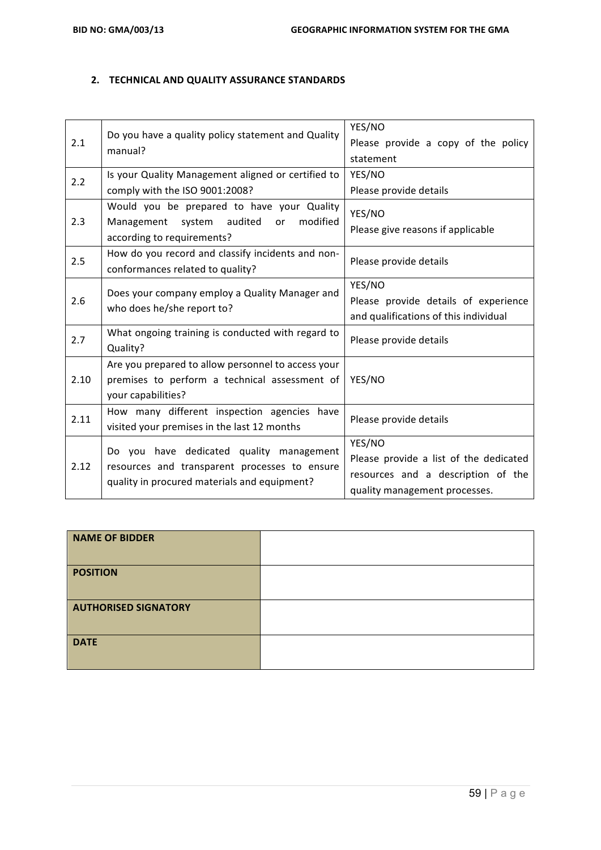#### **2. TECHNICAL AND QUALITY ASSURANCE STANDARDS**

| 2.1  | Do you have a quality policy statement and Quality<br>manual?                                                                             | YES/NO<br>Please provide a copy of the policy<br>statement                                                              |  |
|------|-------------------------------------------------------------------------------------------------------------------------------------------|-------------------------------------------------------------------------------------------------------------------------|--|
| 2.2  | Is your Quality Management aligned or certified to<br>comply with the ISO 9001:2008?                                                      | YES/NO<br>Please provide details                                                                                        |  |
| 2.3  | Would you be prepared to have your Quality<br>system audited<br>modified<br>Management<br>or<br>according to requirements?                | YES/NO<br>Please give reasons if applicable                                                                             |  |
| 2.5  | How do you record and classify incidents and non-<br>conformances related to quality?                                                     | Please provide details                                                                                                  |  |
| 2.6  | Does your company employ a Quality Manager and<br>who does he/she report to?                                                              | YES/NO<br>Please provide details of experience<br>and qualifications of this individual                                 |  |
| 2.7  | What ongoing training is conducted with regard to<br>Quality?                                                                             | Please provide details                                                                                                  |  |
| 2.10 | Are you prepared to allow personnel to access your<br>premises to perform a technical assessment of<br>your capabilities?                 | YES/NO                                                                                                                  |  |
| 2.11 | How many different inspection agencies have<br>visited your premises in the last 12 months                                                | Please provide details                                                                                                  |  |
| 2.12 | Do you have dedicated quality management<br>resources and transparent processes to ensure<br>quality in procured materials and equipment? | YES/NO<br>Please provide a list of the dedicated<br>resources and a description of the<br>quality management processes. |  |

| <b>NAME OF BIDDER</b>       |  |
|-----------------------------|--|
| <b>POSITION</b>             |  |
| <b>AUTHORISED SIGNATORY</b> |  |
| <b>DATE</b>                 |  |